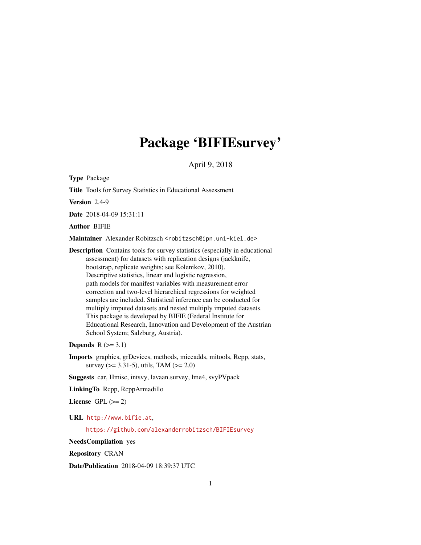# Package 'BIFIEsurvey'

April 9, 2018

<span id="page-0-0"></span>Type Package

Title Tools for Survey Statistics in Educational Assessment

Version 2.4-9

Date 2018-04-09 15:31:11

Author BIFIE

Maintainer Alexander Robitzsch <robitzsch@ipn.uni-kiel.de>

Description Contains tools for survey statistics (especially in educational assessment) for datasets with replication designs (jackknife, bootstrap, replicate weights; see Kolenikov, 2010). Descriptive statistics, linear and logistic regression, path models for manifest variables with measurement error correction and two-level hierarchical regressions for weighted samples are included. Statistical inference can be conducted for multiply imputed datasets and nested multiply imputed datasets. This package is developed by BIFIE (Federal Institute for Educational Research, Innovation and Development of the Austrian School System; Salzburg, Austria).

Depends  $R$  ( $>= 3.1$ )

Imports graphics, grDevices, methods, miceadds, mitools, Rcpp, stats, survey ( $> = 3.31-5$ ), utils, TAM ( $>= 2.0$ )

Suggests car, Hmisc, intsvy, lavaan.survey, lme4, svyPVpack

LinkingTo Rcpp, RcppArmadillo

License GPL  $(>= 2)$ 

URL <http://www.bifie.at>,

<https://github.com/alexanderrobitzsch/BIFIEsurvey>

NeedsCompilation yes

Repository CRAN

Date/Publication 2018-04-09 18:39:37 UTC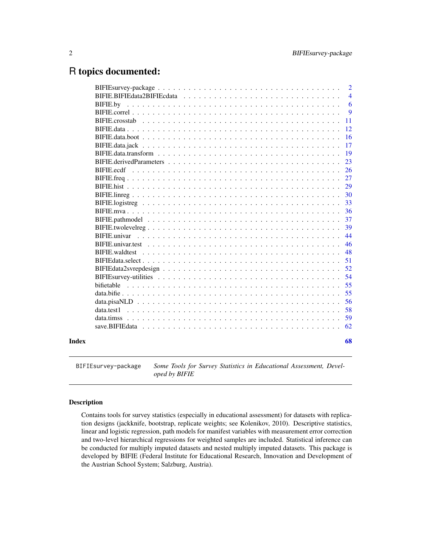# <span id="page-1-0"></span>R topics documented:

|       |                   | $\overline{2}$ |
|-------|-------------------|----------------|
|       |                   | $\overline{4}$ |
|       | BIFIE.by          | 6              |
|       |                   | 9              |
|       |                   | 11             |
|       |                   | 12             |
|       |                   | 16             |
|       |                   | 17             |
|       |                   | 19             |
|       |                   | 23             |
|       | BIFIE.ecdf        | 26             |
|       |                   | 27             |
|       |                   | 29             |
|       |                   | 30             |
|       |                   | 33             |
|       |                   | 36             |
|       |                   | 37             |
|       |                   | 39             |
|       | BIFIE.univar      | 44             |
|       | BIFIE.univar.test | 46             |
|       | BIFIE.waldtest    | 48             |
|       |                   | 51             |
|       |                   | 52             |
|       |                   | 54             |
|       |                   | 55             |
|       |                   | 55             |
|       |                   | 56             |
|       |                   | 58             |
|       | data.timss        | 59             |
|       |                   | 62             |
| Index |                   | 68             |

BIFIEsurvey-package *Some Tools for Survey Statistics in Educational Assessment, Developed by BIFIE*

# Description

Contains tools for survey statistics (especially in educational assessment) for datasets with replication designs (jackknife, bootstrap, replicate weights; see Kolenikov, 2010). Descriptive statistics, linear and logistic regression, path models for manifest variables with measurement error correction and two-level hierarchical regressions for weighted samples are included. Statistical inference can be conducted for multiply imputed datasets and nested multiply imputed datasets. This package is developed by BIFIE (Federal Institute for Educational Research, Innovation and Development of the Austrian School System; Salzburg, Austria).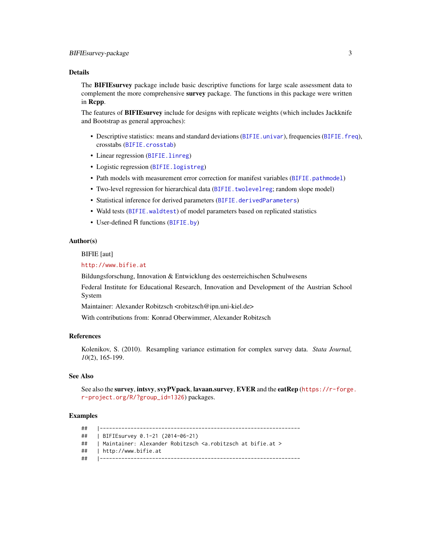# <span id="page-2-0"></span>Details

The **BIFIEsurvey** package include basic descriptive functions for large scale assessment data to complement the more comprehensive survey package. The functions in this package were written in Rcpp.

The features of **BIFIEsurvey** include for designs with replicate weights (which includes Jackknife and Bootstrap as general approaches):

- Descriptive statistics: means and standard deviations ([BIFIE.univar](#page-43-1)), frequencies ([BIFIE.freq](#page-26-1)), crosstabs ([BIFIE.crosstab](#page-10-1))
- Linear regression ([BIFIE.linreg](#page-29-1))
- Logistic regression ([BIFIE.logistreg](#page-32-1))
- Path models with measurement error correction for manifest variables ([BIFIE.pathmodel](#page-36-1))
- Two-level regression for hierarchical data ([BIFIE.twolevelreg](#page-38-1); random slope model)
- Statistical inference for derived parameters ([BIFIE.derivedParameters](#page-22-1))
- Wald tests ([BIFIE.waldtest](#page-47-1)) of model parameters based on replicated statistics
- User-defined R functions ([BIFIE.by](#page-5-1))

#### Author(s)

BIFIE [aut]

#### <http://www.bifie.at>

Bildungsforschung, Innovation & Entwicklung des oesterreichischen Schulwesens

Federal Institute for Educational Research, Innovation and Development of the Austrian School System

Maintainer: Alexander Robitzsch <robitzsch@ipn.uni-kiel.de>

With contributions from: Konrad Oberwimmer, Alexander Robitzsch

# References

Kolenikov, S. (2010). Resampling variance estimation for complex survey data. *Stata Journal, 10*(2), 165-199.

#### See Also

See also the survey, intsvy, svyPVpack, lavaan.survey, EVER and the eatRep ([https://r-forge](https://r-forge.r-project.org/R/?group_id=1326). [r-project.org/R/?group\\_id=1326](https://r-forge.r-project.org/R/?group_id=1326)) packages.

#### Examples

## |----------------------------------------------------------------- ## | BIFIEsurvey 0.1-21 (2014-06-21) ## | Maintainer: Alexander Robitzsch <a.robitzsch at bifie.at > ## | http://www.bifie.at ## |-----------------------------------------------------------------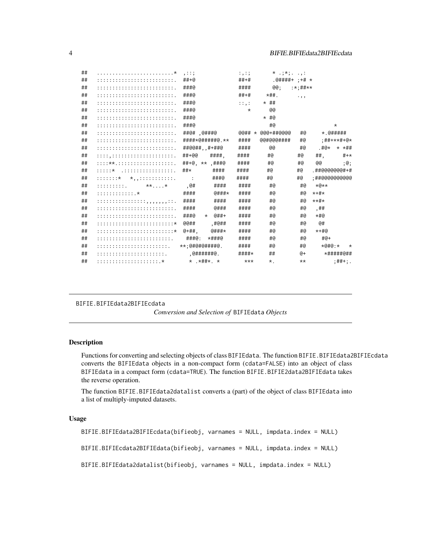| ## |                                                                       | , : : :                 | :       | * $; *; \ldots;$           |               |                                 |  |
|----|-----------------------------------------------------------------------|-------------------------|---------|----------------------------|---------------|---------------------------------|--|
| ## |                                                                       | ##+@                    | ##+#    |                            | .@####+ :+# * |                                 |  |
| ## | :::::::::::::::::::::::::::::                                         | ###@                    | ####    | @@ <u>.</u>                | :*:##**       |                                 |  |
| ## | ::::::::::::::::::::::::::::::                                        | ###@                    | ##+#    | $*$ ##.                    | $\cdot$ , ,   |                                 |  |
| ## | :::::::::::::::::::::::::::::                                         | ###@                    | 1.141   | $*  ##$                    |               |                                 |  |
| ## | :::::::::::::::::::::::::::::                                         | ###@                    | $\star$ | aa                         |               |                                 |  |
| ## | :::::::::::::::::::::::::::::                                         | ###@                    |         | $*$ #@                     |               |                                 |  |
| ## |                                                                       | ###@                    |         | #@                         |               | $\star$                         |  |
| ## | ::::::::::::::::::::::::::::::                                        | ##@#,@###@              |         | $0.04#$ * $0.00+$ $0.004#$ | #@            | $*$ . $@$ #####                 |  |
| ## | ::::::::::::::::::::::::::::                                          | ####*@#####@.**         | ####    | @@#@@@####                 | #@            | :##+**#+@*                      |  |
| ## | ::::::::::::::::::::::::::::                                          | ##@@##,,#+##@           | ####    | @@                         | #@            | $. \#$ $\&$<br>* *##            |  |
| ## | ::::;;:::::::::::::::::::::                                           | ##+@@<br>####           | ####    | #@                         | #@            | $##$ .<br>#+ $\star$            |  |
| ## | $: : : : \star \star . : : : : : : : : : : : : : : : : : : : : : : :$ | ##+@, **, ###@          | ####    | #@                         | #@            | @<br>:@:                        |  |
| ## | $: : : : * - . : : : : : : : : : : : : : : : : : : : :$               | ##*<br>####             | ####    | #@                         | #@            | .##@@@@@@#+#                    |  |
| ## | $: : : : : : * \rightarrow$ ,,:::::::::::                             | ###@<br>$\mathbb{R}^2$  | ####    | #@                         | #@            | :##@@@@@@@@@                    |  |
| ## | $\frac{1}{1}$ : : : : : : : : : : * * *                               | , @#<br>####            | ####    | # $@$                      | #@            | $*@**$                          |  |
| ## | $1:1:1:1:1:1:1:1.*$                                                   | ####<br>@###*           | ####    | #@                         | #@            | $x + #x$                        |  |
| ## | :::::::::::::::::;,,,,,,,,::.                                         | ####<br>####            | ####    | #@                         | #@            | **#*                            |  |
| ## | :::::::::::::::::::::::::::::                                         | @###<br>####            | ####    | #@                         | #@            | ,##                             |  |
| ## | :::::::::::::::::::::::::::::                                         | ###@<br>@##+<br>$\star$ | ####    | # $@$                      | #@            | $*$ #@                          |  |
| ## | ::::::::::::::::::::::::::::                                          | ,#@##<br>@@##           | ####    | #@                         | #@            | @#                              |  |
| ## | ::::::::::::::::::::::::::::                                          | @+##.<br>@###*          | ####    | # $@$                      | #@            | $x + #@$                        |  |
| ## | :::::::::::::::::::::::::::                                           | ###@:<br>*###@          | ####    | #@                         | #@            | $#@+$                           |  |
| ## | :::::::::::::::::::::::::::                                           | **: @#@#@#####@.        | ####    | # $@$                      | #@            | $\star$ @#@: $\star$<br>$\star$ |  |
| ## | ::::::::::::::::::::::::::                                            | .@######@.              | ####*   | ##                         | @+            | *#####@##                       |  |
| ## |                                                                       | * *##* *                | $***$   | $\star$ .                  | $***$         | :##+:                           |  |

# BIFIE.BIFIEdata2BIFIEcdata

Conversion and Selection of BIFIEdata Objects

# **Description**

Functions for converting and selecting objects of class BIFIEdata. The function BIFIE. BIFIEdata2BIFIEcdata converts the BIFIEdata objects in a non-compact form (cdata=FALSE) into an object of class BIFIEdata in a compact form (cdata=TRUE). The function BIFIE.BIFIE2data2BIFIEdata takes the reverse operation.

The function BIFIE.BIFIEdata2datalist converts a (part) of the object of class BIFIEdata into a list of multiply-imputed datasets.

#### **Usage**

```
BIFIE.BIFIEdata2BIFIEcdata(bifieobj, varnames = NULL, impdata.index = NULL)
BIFIE.BIFIEcdata2BIFIEdata(bifieobj, varnames = NULL, impdata.index = NULL)
BIFIE.BIFIEdata2datalist(bifieobj, varnames = NULL, impdata.index = NULL)
```
<span id="page-3-0"></span> $\overline{4}$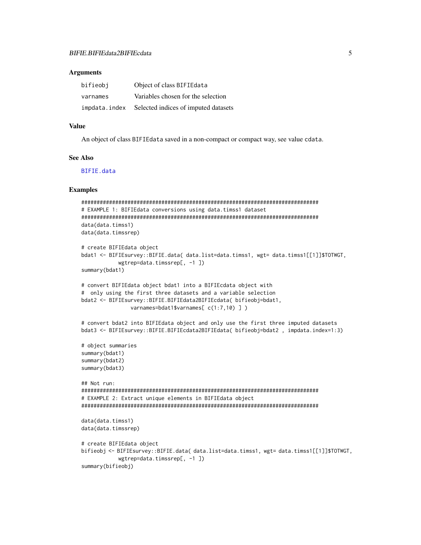#### <span id="page-4-0"></span>**Arguments**

| bifieobj | Object of class BIFIEdata                          |
|----------|----------------------------------------------------|
| varnames | Variables chosen for the selection                 |
|          | impdata.index Selected indices of imputed datasets |

# **Value**

An object of class BIFIEdata saved in a non-compact or compact way, see value cdata.

#### **See Also**

**BIFIE.data** 

```
# EXAMPLE 1: BIFIEdata conversions using data.timss1 dataset
data(data.timss1)
data(data.timssrep)
# create BIFIEdata object
bdat1 <- BIFIEsurvey::BIFIE.data( data.list=data.timss1, wgt= data.timss1[[1]]$TOTWGT,
         wgtrep=data.timssrep[, -1 ])
summary(bdat1)
# convert BIFIEdata object bdat1 into a BIFIEcdata object with
# only using the first three datasets and a variable selection
bdat2 <- BIFIEsurvey::BIFIE.BIFIEdata2BIFIEcdata( bifieobj=bdat1,
            varnames=bdat1$varnames[ c(1:7,10) ])
# convert bdat2 into BIFIEdata object and only use the first three imputed datasets
bdat3 <- BIFIEsurvey::BIFIE.BIFIEcdata2BIFIEdata( bifieobj=bdat2, impdata.index=1:3)
# object summaries
summary(bdat1)
summary(bdat2)
summary(bdat3)
## Not run:
# EXAMPLE 2: Extract unique elements in BIFIEdata object
data(data.timss1)
data(data.timssrep)
# create BIFIEdata object
bifieobj <- BIFIEsurvey::BIFIE.data( data.list=data.timss1, wgt= data.timss1[[1]]$TOTWGT,
         wgtrep=data.timssrep[, -1 ])
summary(bifieobj)
```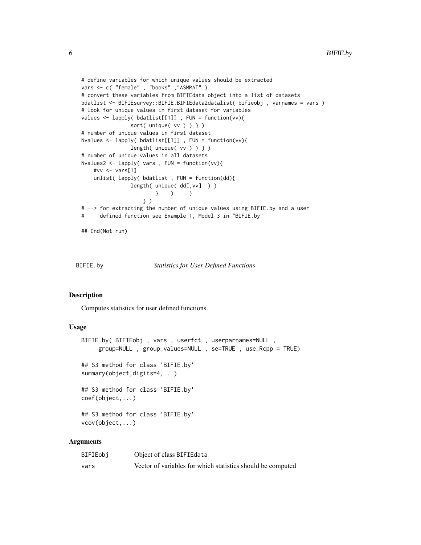```
# define variables for which unique values should be extracted
vars <- c( "female" , "books" ,"ASMMAT" )
# convert these variables from BIFIEdata object into a list of datasets
bdatlist <- BIFIEsurvey::BIFIE.BIFIEdata2datalist( bifieobj , varnames = vars )
# look for unique values in first dataset for variables
values <- lapply( bdatlist[[1]] , FUN = function(vv){
                sort( unique( vv ) ) } )
# number of unique values in first dataset
Nvalues <- lapply( bdatlist[[1]] , FUN = function(vv){
                length( unique( vv ) ) } )
# number of unique values in all datasets
Nvalues2 <- lapply( vars , FUN = function(vv){
    #vv <- vars[1]
    unlist( lapply( bdatlist , FUN = function(dd){
                length( unique( dd[, vv] ) )
                       } ) )
                    } )
# --> for extracting the number of unique values using BIFIE.by and a user
# defined function see Example 1, Model 3 in "BIFIE.by"
```
## End(Not run)

<span id="page-5-1"></span>BIFIE.by *Statistics for User Defined Functions*

# Description

Computes statistics for user defined functions.

#### Usage

```
BIFIE.by( BIFIEobj , vars , userfct , userparnames=NULL ,
     group=NULL , group_values=NULL , se=TRUE , use_Rcpp = TRUE)
## S3 method for class 'BIFIE.by'
summary(object,digits=4,...)
## S3 method for class 'BIFIE.by'
coef(object,...)
## S3 method for class 'BIFIE.by'
vcov(object,...)
```
# Arguments

| BIFIEobj | Object of class BIFIEdata                                   |
|----------|-------------------------------------------------------------|
| vars     | Vector of variables for which statistics should be computed |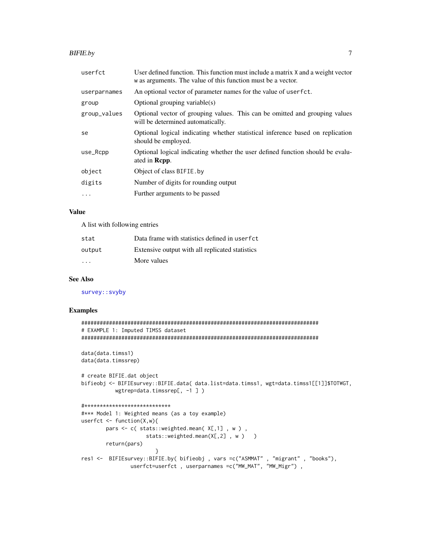# <span id="page-6-0"></span>**BIFIE.by**

| userfct      | User defined function. This function must include a matrix X and a weight vector<br>w as arguments. The value of this function must be a vector. |
|--------------|--------------------------------------------------------------------------------------------------------------------------------------------------|
| userparnames | An optional vector of parameter names for the value of userfct.                                                                                  |
| group        | Optional grouping variable $(s)$                                                                                                                 |
| group_values | Optional vector of grouping values. This can be omitted and grouping values<br>will be determined automatically.                                 |
| se           | Optional logical indicating whether statistical inference based on replication<br>should be employed.                                            |
| use_Rcpp     | Optional logical indicating whether the user defined function should be evalu-<br>ated in <b>Repp</b> .                                          |
| object       | Object of class BIFIE. by                                                                                                                        |
| digits       | Number of digits for rounding output                                                                                                             |
| $\ddots$ .   | Further arguments to be passed                                                                                                                   |

# **Value**

A list with following entries

| stat                    | Data frame with statistics defined in userfct   |
|-------------------------|-------------------------------------------------|
| output                  | Extensive output with all replicated statistics |
| $\cdot$ $\cdot$ $\cdot$ | More values                                     |

# **See Also**

survey::svyby

```
# EXAMPLE 1: Imputed TIMSS dataset
data(data.timss1)
data(data.timssrep)
# create BIFIE.dat object
bifieobj <- BIFIEsurvey::BIFIE.data( data.list=data.timss1, wgt=data.timss1[[1]]$TOTWGT,
        wgtrep=data.timssrep[, -1 ])
#****************************
#*** Model 1: Weighted means (as a toy example)
userfct \leq function(X,w){
      pars \leq c( stats::weighted.mean( X[,1] , w ),
                stats::weighted.mean(X[,2], w) )
      return(pars)
                  }
res1 <- BIFIEsurvey::BIFIE.by( bifieobj, vars =c("ASMMAT", "migrant", "books"),
            userfct=userfct, userparnames =c("MW_MAT", "MW_Migr"),
```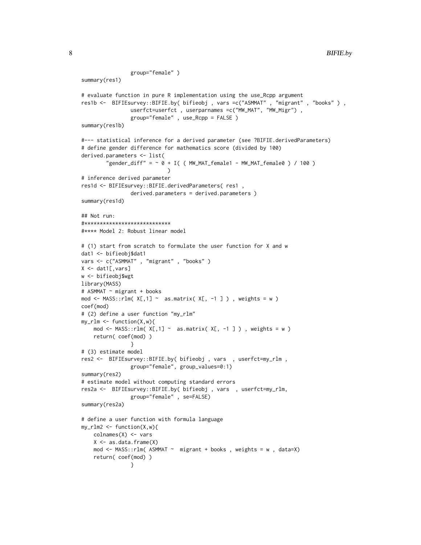```
group="female" )
summary(res1)
# evaluate function in pure R implementation using the use_Rcpp argument
res1b <- BIFIEsurvey::BIFIE.by( bifieobj , vars =c("ASMMAT" , "migrant" , "books" ) ,
                userfct=userfct , userparnames =c("MW_MAT", "MW_Migr") ,
                group="female" , use_Rcpp = FALSE )
summary(res1b)
#--- statistical inference for a derived parameter (see ?BIFIE.derivedParameters)
# define gender difference for mathematics score (divided by 100)
derived.parameters <- list(
        "gender\_diff" = ~ 0 + I( ( MW\_MAT\_female1 - MW\_MAT\_female0 ) / 100 ))
# inference derived parameter
res1d <- BIFIEsurvey::BIFIE.derivedParameters( res1 ,
                derived.parameters = derived.parameters )
summary(res1d)
## Not run:
#****************************
#**** Model 2: Robust linear model
# (1) start from scratch to formulate the user function for X and w
dat1 <- bifieobj$dat1
vars <- c("ASMMAT" , "migrant" , "books" )
X \leftarrow \text{dat1}[, \text{vars}]w <- bifieobj$wgt
library(MASS)
# ASMMAT ~ migrant + books
mod <- MASS::rlm( X[,1] ~ as.matrix(X[, -1]), weights = w)
coef(mod)
# (2) define a user function "my_rlm"
my_rlm \leftarrow function(X,w)mod <- MASS::rlm( X[, 1] \sim as.matrix ( X[, -1] ), weights = w )
    return( coef(mod) )
                }
# (3) estimate model
res2 <- BIFIEsurvey::BIFIE.by( bifieobj , vars , userfct=my_rlm ,
                group="female", group_values=0:1)
summary(res2)
# estimate model without computing standard errors
res2a <- BIFIEsurvey::BIFIE.by( bifieobj , vars , userfct=my_rlm,
                group="female" , se=FALSE)
summary(res2a)
# define a user function with formula language
my_rlm2 <- function(X,w){
    colnames(X) <- vars
   X \leftarrow as.data-frame(X)mod \le - MASS::rlm( ASMMAT \sim migrant + books, weights = w, data=X)
    return( coef(mod) )
                }
```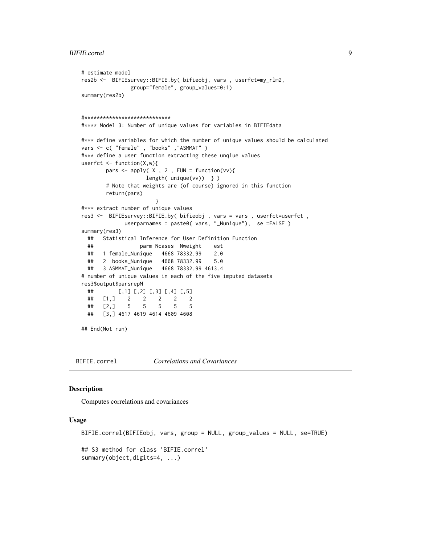# <span id="page-8-0"></span>**BIFIE.correl**

```
# estimate model
res2b <- BIFIEsurvey::BIFIE.by( bifieobj, vars, userfct=my_rlm2,
                group="female", group_values=0:1)
summary(res2b)
#****************************
#**** Model 3: Number of unique values for variables in BIFIEdata
#*** define variables for which the number of unique values should be calculated
vars <- c( "female" , "books" ,"ASMMAT" )
#*** define a user function extracting these unqiue values
userfct \leq function(X,w){
       pars <- apply(X, 2, FUN = function(vv){
                     length( unique(vv)) } )
       # Note that weights are (of course) ignored in this function
       return(pars)
                        \mathcal{E}#*** extract number of unique values
res3 <- BIFIEsurvey::BIFIE.by( bifieobj , vars = vars , userfct=userfct ,
             userparnames = paste0( vars, "_Nunique"), se =FALSE )
summarv(res3)##Statistical Inference for User Definition Function
                  parm Ncases Nweight
 ##est
     1 female_Nunique 4668 78332.99
 ##2.04668 78332.99
 ##2 books_Nunique
                                           5.04668 78332.99 4613.4
 ##3 ASMMAT_Nunique
# number of unique values in each of the five imputed datasets
res3$output$parsrepM
 ##[1,1] [2,2] [3] [3,4] [5]##[1,] 2 2 2 2
                                   \overline{2}##5<sup>5</sup>5<sup>5</sup>5<sup>5</sup>5^{\circ}5
     [2,][3,] 4617 4619 4614 4609 4608
 #### End(Not run)
```
<span id="page-8-1"></span>BIFIE.correl **Correlations and Covariances** 

#### **Description**

Computes correlations and covariances

#### **Usage**

```
BIFIE.correl(BIFIEobj, vars, group = NULL, group_values = NULL, se=TRUE)
## S3 method for class 'BIFIE.correl'
summary(object,digits=4, ...)
```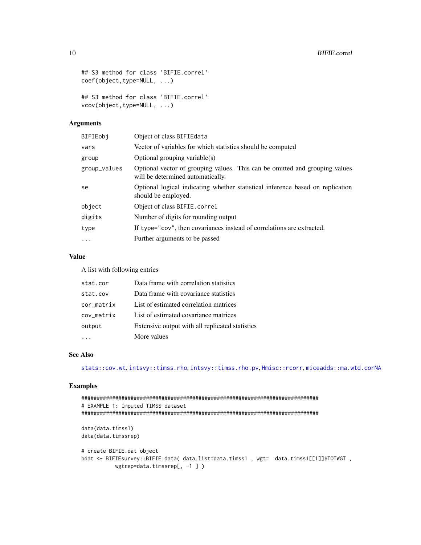```
## S3 method for class 'BIFIE.correl'
coef(object, type=NULL, ...)## S3 method for class 'BIFIE.correl'
vcov(object, type=NULL, ...)
```
# **Arguments**

| BIFIEobj     | Object of class BIFIEdata                                                                                        |
|--------------|------------------------------------------------------------------------------------------------------------------|
| vars         | Vector of variables for which statistics should be computed                                                      |
| group        | Optional grouping variable(s)                                                                                    |
| group_values | Optional vector of grouping values. This can be omitted and grouping values<br>will be determined automatically. |
| se           | Optional logical indicating whether statistical inference based on replication<br>should be employed.            |
| object       | Object of class BIFIE.correl                                                                                     |
| digits       | Number of digits for rounding output                                                                             |
| type         | If type="cov", then covariances instead of correlations are extracted.                                           |
| $\cdots$     | Further arguments to be passed                                                                                   |
|              |                                                                                                                  |

#### **Value**

A list with following entries

| stat.cor   | Data frame with correlation statistics          |
|------------|-------------------------------------------------|
| stat.cov   | Data frame with covariance statistics           |
| cor_matrix | List of estimated correlation matrices          |
| cov_matrix | List of estimated covariance matrices           |
| output     | Extensive output with all replicated statistics |
|            | More values                                     |

# **See Also**

stats::cov.wt,intsvy::timss.rho,intsvy::timss.rho.pv,Hmisc::rcorr,miceadds::ma.wtd.corNA

```
# EXAMPLE 1: Imputed TIMSS dataset
data(data.timss1)
data(data.timssrep)
# create BIFIE.dat object
bdat <- BIFIEsurvey::BIFIE.data( data.list=data.timss1, wgt= data.timss1[[1]]$TOTWGT,
      wgtrep=data.timssrep[, -1 ])
```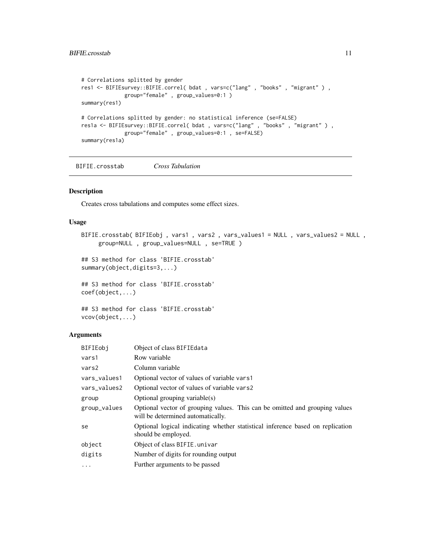```
# Correlations splitted by gender
res1 <- BIFIEsurvey::BIFIE.correl(bdat, vars=c("lang", "books", "migrant"),
             group="female" , group_values=0:1 )
summary(res1)
# Correlations splitted by gender: no statistical inference (se=FALSE)
res1a <- BIFIEsurvey::BIFIE.correl( bdat , vars=c("lang" , "books" , "migrant" ) ,
             group="female" , group_values=0:1 , se=FALSE)
summary(res1a)
```
<span id="page-10-1"></span>BIFIE.crosstab *Cross Tabulation*

#### Description

Creates cross tabulations and computes some effect sizes.

#### Usage

```
BIFIE.crosstab( BIFIEobj, vars1, vars2, vars_values1 = NULL, vars_values2 = NULL,
     group=NULL , group_values=NULL , se=TRUE )
## S3 method for class 'BIFIE.crosstab'
summary(object,digits=3,...)
## S3 method for class 'BIFIE.crosstab'
coef(object,...)
## S3 method for class 'BIFIE.crosstab'
vcov(object,...)
```
#### Arguments

| BIFIEobj     | Object of class BIFIEdata                                                                                        |
|--------------|------------------------------------------------------------------------------------------------------------------|
| vars1        | Row variable                                                                                                     |
| vars2        | Column variable                                                                                                  |
| vars_values1 | Optional vector of values of variable vars1                                                                      |
| vars_values2 | Optional vector of values of variable vars2                                                                      |
| group        | Optional grouping variable $(s)$                                                                                 |
| group_values | Optional vector of grouping values. This can be omitted and grouping values<br>will be determined automatically. |
| se           | Optional logical indicating whether statistical inference based on replication<br>should be employed.            |
| object       | Object of class BIFIE.univar                                                                                     |
| digits       | Number of digits for rounding output                                                                             |
| $\cdot$      | Further arguments to be passed                                                                                   |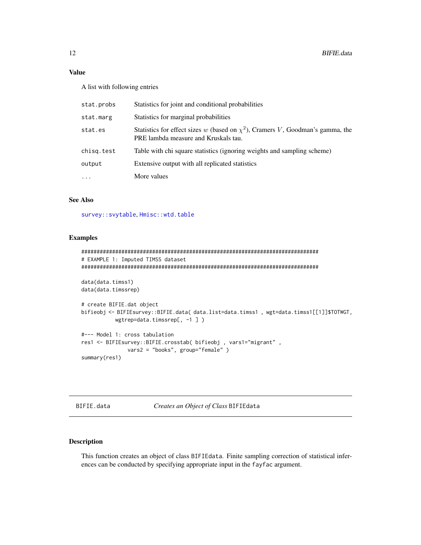# <span id="page-11-0"></span>**Value**

A list with following entries

| stat.probs | Statistics for joint and conditional probabilities                                                                          |
|------------|-----------------------------------------------------------------------------------------------------------------------------|
| stat.marg  | Statistics for marginal probabilities                                                                                       |
| stat.es    | Statistics for effect sizes w (based on $\chi^2$ ), Cramers V, Goodman's gamma, the<br>PRE lambda measure and Kruskals tau. |
| chisg.test | Table with chi square statistics (ignoring weights and sampling scheme)                                                     |
| output     | Extensive output with all replicated statistics                                                                             |
| .          | More values                                                                                                                 |

#### **See Also**

survey::svytable, Hmisc::wtd.table

# **Examples**

```
# EXAMPLE 1: Imputed TIMSS dataset
data(data.timss1)
data(data.timssrep)
# create BIFIE.dat object
bifieobj <- BIFIEsurvey::BIFIE.data(data.list=data.timss1, wgt=data.timss1[[1]]$TOTWGT,
       wgtrep=data.timssrep[, -1 ])
#--- Model 1: cross tabulation
res1 <- BIFIEsurvey::BIFIE.crosstab( bifieobj, vars1="migrant",
          vars2 = "books", group="female")
summary(res1)
```
<span id="page-11-1"></span>BIFIE.data

```
Creates an Object of Class BIFIEdata
```
#### **Description**

This function creates an object of class BIFIEdata. Finite sampling correction of statistical inferences can be conducted by specifying appropriate input in the fayfac argument.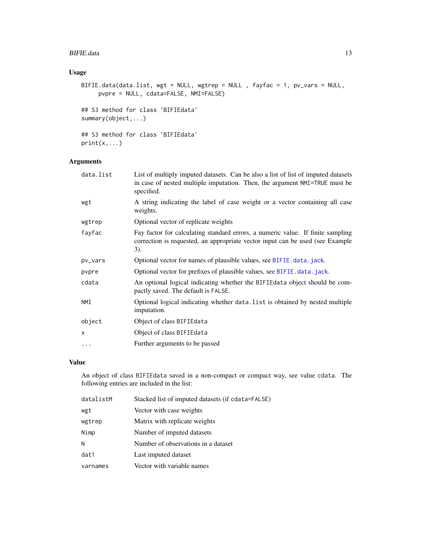#### <span id="page-12-0"></span>BIFIE.data 13

# Usage

```
BIFIE.data(data.list, wgt = NULL, wgtrep = NULL , fayfac = 1, pv_vars = NULL,
     pvpre = NULL, cdata=FALSE, NMI=FALSE)
```

```
## S3 method for class 'BIFIEdata'
summary(object,...)
```

```
## S3 method for class 'BIFIEdata'
print(x,...)
```
# Arguments

| data.list | List of multiply imputed datasets. Can be also a list of list of imputed datasets<br>in case of nested multiple imputation. Then, the argument NMI=TRUE must be<br>specified. |
|-----------|-------------------------------------------------------------------------------------------------------------------------------------------------------------------------------|
| wgt       | A string indicating the label of case weight or a vector containing all case<br>weights.                                                                                      |
| wgtrep    | Optional vector of replicate weights                                                                                                                                          |
| fayfac    | Fay factor for calculating standard errors, a numeric value. If finite sampling<br>correction is requested, an appropriate vector input can be used (see Example<br>3).       |
| pv_vars   | Optional vector for names of plausible values, see BIFIE.data.jack.                                                                                                           |
| pvpre     | Optional vector for prefixes of plausible values, see BIFIE.data.jack.                                                                                                        |
| cdata     | An optional logical indicating whether the BIFIEdata object should be com-<br>pactly saved. The default is FALSE.                                                             |
| NMI       | Optional logical indicating whether data. List is obtained by nested multiple<br>imputation.                                                                                  |
| object    | Object of class BIFIEdata                                                                                                                                                     |
| X         | Object of class BIFIEdata                                                                                                                                                     |
| $\cdots$  | Further arguments to be passed                                                                                                                                                |

# Value

An object of class BIFIEdata saved in a non-compact or compact way, see value cdata. The following entries are included in the list:

| datalistM | Stacked list of imputed datasets (if cdata=FALSE) |
|-----------|---------------------------------------------------|
| wgt       | Vector with case weights                          |
| wgtrep    | Matrix with replicate weights                     |
| Nimp      | Number of imputed datasets                        |
| Ν         | Number of observations in a dataset               |
| dat1      | Last imputed dataset                              |
| varnames  | Vector with variable names                        |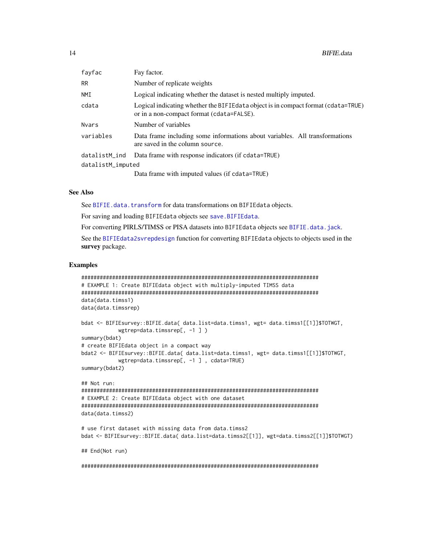<span id="page-13-0"></span>

| fayfac            | Fay factor.                                                                                                                     |
|-------------------|---------------------------------------------------------------------------------------------------------------------------------|
| RR.               | Number of replicate weights                                                                                                     |
| NMI               | Logical indicating whether the dataset is nested multiply imputed.                                                              |
| cdata             | Logical indicating whether the BIFIE data object is in compact format (cdata=TRUE)<br>or in a non-compact format (cdata=FALSE). |
| Nvars             | Number of variables                                                                                                             |
| variables         | Data frame including some informations about variables. All transformations<br>are saved in the column source.                  |
| datalistM_ind     | Data frame with response indicators (if cdata=TRUE)                                                                             |
| datalistM_imputed |                                                                                                                                 |
|                   | Data frame with imputed values (if cdata=TRUE)                                                                                  |

# **See Also**

See BIFIE.data.transform for data transformations on BIFIEdata objects.

For saving and loading BIFIEdata objects see save. BIFIEdata.

For converting PIRLS/TIMSS or PISA datasets into BIFIEdata objects see BIFIE. data. jack.

See the BIFIEdata2svrepdesign function for converting BIFIEdata objects to objects used in the survey package.

```
# EXAMPLE 1: Create BIFIEdata object with multiply-imputed TIMSS data
data(data.timss1)
data(data.timssrep)
bdat <- BIFIEsurvey::BIFIE.data( data.list=data.timss1, wgt= data.timss1[[1]]$TOTWGT,
        wgtrep=data.timssrep[, -1])
summary(bdat)
# create BIFIEdata object in a compact way
bdat2 <- BIFIEsurvey::BIFIE.data( data.list=data.timss1, wgt= data.timss1[[1]]$TOTWGT,
        wgtrep=data.timssrep[, -1 ], cdata=TRUE)
summary(bdat2)
## Not run:
# EXAMPLE 2: Create BIFIEdata object with one dataset
data(data.timss2)
# use first dataset with missing data from data.timss2
bdat <- BIFIEsurvey::BIFIE.data( data.list=data.timss2[[1]], wgt=data.timss2[[1]]$TOTWGT)
## End(Not run)
```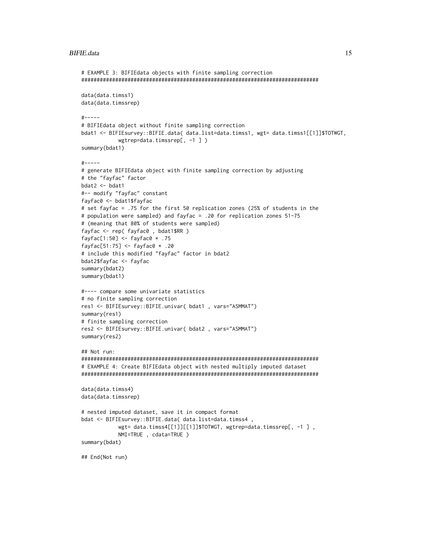#### BIFIE.data 15

```
# EXAMPLE 3: BIFIEdata objects with finite sampling correction
#############################################################################
data(data.timss1)
data(data.timssrep)
#-----
# BIFIEdata object without finite sampling correction
bdat1 <- BIFIEsurvey::BIFIE.data( data.list=data.timss1, wgt= data.timss1[[1]]$TOTWGT,
            wgtrep=data.timssrep[, -1 ] )
summary(bdat1)
#-----
# generate BIFIEdata object with finite sampling correction by adjusting
# the "fayfac" factor
bdat2 <- bdat1
#-- modify "fayfac" constant
fayfac0 <- bdat1$fayfac
# set fayfac = .75 for the first 50 replication zones (25% of students in the
# population were sampled) and fayfac = .20 for replication zones 51-75
# (meaning that 80% of students were sampled)
fayfac <- rep( fayfac0 , bdat1$RR )
fayfac[1:50] <- fayfac0 * .75fayfac[51:75] <- fayfac0 * .20# include this modified "fayfac" factor in bdat2
bdat2$fayfac <- fayfac
summary(bdat2)
summary(bdat1)
#---- compare some univariate statistics
# no finite sampling correction
res1 <- BIFIEsurvey::BIFIE.univar( bdat1 , vars="ASMMAT")
summary(res1)
# finite sampling correction
res2 <- BIFIEsurvey::BIFIE.univar( bdat2 , vars="ASMMAT")
summary(res2)
## Not run:
#############################################################################
# EXAMPLE 4: Create BIFIEdata object with nested multiply imputed dataset
#############################################################################
data(data.timss4)
data(data.timssrep)
# nested imputed dataset, save it in compact format
bdat <- BIFIEsurvey::BIFIE.data( data.list=data.timss4 ,
            wgt= data.timss4[[1]][[1]]$TOTWGT, wgtrep=data.timssrep[, -1 ],
            NMI=TRUE , cdata=TRUE )
summary(bdat)
## End(Not run)
```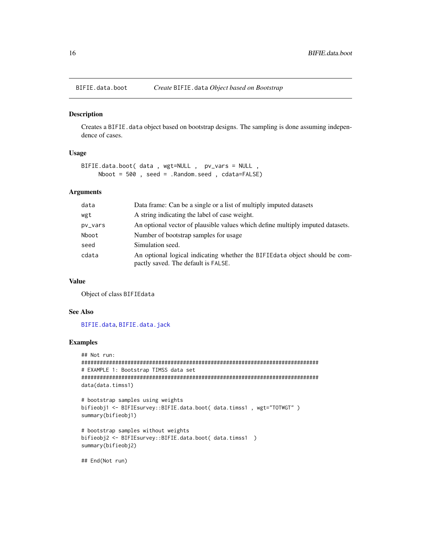<span id="page-15-1"></span><span id="page-15-0"></span>

# Description

Creates a BIFIE.data object based on bootstrap designs. The sampling is done assuming independence of cases.

# Usage

```
BIFIE.data.boot( data , wgt=NULL , pv_vars = NULL ,
     Nboot = 500 , seed = .Random.seed , cdata=FALSE)
```
#### Arguments

| data    | Data frame: Can be a single or a list of multiply imputed datasets                                                 |
|---------|--------------------------------------------------------------------------------------------------------------------|
| wgt     | A string indicating the label of case weight.                                                                      |
| pv_vars | An optional vector of plausible values which define multiply imputed datasets.                                     |
| Nboot   | Number of bootstrap samples for usage.                                                                             |
| seed    | Simulation seed.                                                                                                   |
| cdata   | An optional logical indicating whether the BIFIE data object should be com-<br>pactly saved. The default is FALSE. |

# Value

Object of class BIFIEdata

#### See Also

[BIFIE.data](#page-11-1), [BIFIE.data.jack](#page-16-1)

#### Examples

```
## Not run:
#############################################################################
# EXAMPLE 1: Bootstrap TIMSS data set
#############################################################################
data(data.timss1)
```

```
# bootstrap samples using weights
bifieobj1 <- BIFIEsurvey::BIFIE.data.boot( data.timss1 , wgt="TOTWGT" )
summary(bifieobj1)
```

```
# bootstrap samples without weights
bifieobj2 <- BIFIEsurvey::BIFIE.data.boot( data.timss1 )
summary(bifieobj2)
```
## End(Not run)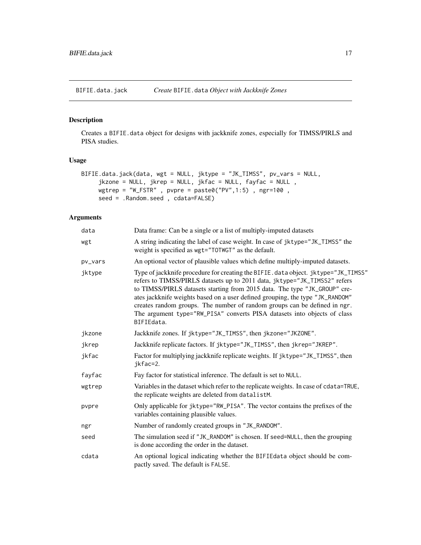<span id="page-16-1"></span><span id="page-16-0"></span>BIFIE.data.jack *Create* BIFIE.data *Object with Jackknife Zones*

# Description

Creates a BIFIE.data object for designs with jackknife zones, especially for TIMSS/PIRLS and PISA studies.

# Usage

```
BIFIE.data.jack(data, wgt = NULL, jktype = "JK_TIMSS", pv_vars = NULL,
     jkzone = NULL, jkrep = NULL, jkfac = NULL, fayfac = NULL ,
    wgtrep = "W_FSTR", pvpre = paste0("PV",1:5), ngr=100,
     seed = .Random.seed , cdata=FALSE)
```
# Arguments

| data    | Data frame: Can be a single or a list of multiply-imputed datasets                                                                                                                                                                                                                                                                                                                                                                                                                                   |  |
|---------|------------------------------------------------------------------------------------------------------------------------------------------------------------------------------------------------------------------------------------------------------------------------------------------------------------------------------------------------------------------------------------------------------------------------------------------------------------------------------------------------------|--|
| wgt     | A string indicating the label of case weight. In case of jktype="JK_TIMSS" the<br>weight is specified as wgt="TOTWGT" as the default.                                                                                                                                                                                                                                                                                                                                                                |  |
| pv_vars | An optional vector of plausible values which define multiply-imputed datasets.                                                                                                                                                                                                                                                                                                                                                                                                                       |  |
| jktype  | Type of jackknife procedure for creating the BIFIE. data object. jktype="JK_TIMSS"<br>refers to TIMSS/PIRLS datasets up to 2011 data, jktype="JK_TIMSS2" refers<br>to TIMSS/PIRLS datasets starting from 2015 data. The type "JK_GROUP" cre-<br>ates jackknife weights based on a user defined grouping, the type "JK_RANDOM"<br>creates random groups. The number of random groups can be defined in ngr.<br>The argument type="RW_PISA" converts PISA datasets into objects of class<br>BIFIEdata. |  |
| jkzone  | Jackknife zones. If jktype="JK_TIMSS", then jkzone="JKZONE".                                                                                                                                                                                                                                                                                                                                                                                                                                         |  |
| jkrep   | Jackknife replicate factors. If jktype="JK_TIMSS", then jkrep="JKREP".                                                                                                                                                                                                                                                                                                                                                                                                                               |  |
| jkfac   | Factor for multiplying jackknife replicate weights. If jktype="JK_TIMSS", then<br>jkfac=2.                                                                                                                                                                                                                                                                                                                                                                                                           |  |
| fayfac  | Fay factor for statistical inference. The default is set to NULL.                                                                                                                                                                                                                                                                                                                                                                                                                                    |  |
| wgtrep  | Variables in the dataset which refer to the replicate weights. In case of cdata=TRUE,<br>the replicate weights are deleted from datalistM.                                                                                                                                                                                                                                                                                                                                                           |  |
| pvpre   | Only applicable for jktype="RW_PISA". The vector contains the prefixes of the<br>variables containing plausible values.                                                                                                                                                                                                                                                                                                                                                                              |  |
| ngr     | Number of randomly created groups in "JK_RANDOM".                                                                                                                                                                                                                                                                                                                                                                                                                                                    |  |
| seed    | The simulation seed if "JK_RANDOM" is chosen. If seed=NULL, then the grouping<br>is done according the order in the dataset.                                                                                                                                                                                                                                                                                                                                                                         |  |
| cdata   | An optional logical indicating whether the BIFIEdata object should be com-<br>pactly saved. The default is FALSE.                                                                                                                                                                                                                                                                                                                                                                                    |  |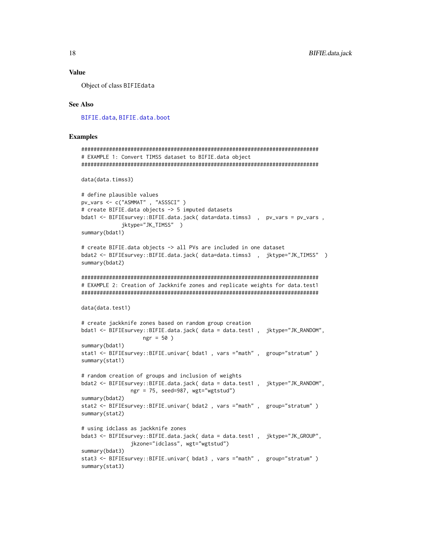#### <span id="page-17-0"></span>**Value**

Object of class BIFIEdata

#### **See Also**

BIFIE.data, BIFIE.data.boot

```
# EXAMPLE 1: Convert TIMSS dataset to BIFIE.data object
data(data.timss3)
# define plausible values
pv_vars <- c("ASMMAT", "ASSSCI")
# create BIFIE.data objects -> 5 imputed datasets
bdat1 <- BIFIEsurvey::BIFIE.data.jack( data=data.timss3 , pv_vars = pv_vars ,
          jktype="JK_TIMSS")
summary(bdat1)
# create BIFIE.data objects -> all PVs are included in one dataset
bdat2 <- BIFIEsurvey::BIFIE.data.jack( data=data.timss3 , jktype="JK_TIMSS" )
summary(bdat2)
# EXAMPLE 2: Creation of Jackknife zones and replicate weights for data.test1
data(data.test1)
# create jackknife zones based on random group creation
bdat1 <- BIFIEsurvey::BIFIE.data.jack( data = data.test1, jktype="JK_RANDOM",
                ngr = 50)
summary(bdat1)
stat1 <- BIFIEsurvey::BIFIE.univar(bdat1, vars ="math", group="stratum")
summary(stat1)
# random creation of groups and inclusion of weights
bdat2 <- BIFIEsurvey::BIFIE.data.jack( data = data.test1, jktype="JK_RANDOM",
            ngr = 75, seed=987, wgt="wgtstud")
summary(bdat2)
stat2 <- BIFIEsurvey::BIFIE.univar(bdat2, vars ="math", group="stratum")
summary(stat2)
# using idclass as jackknife zones
bdat3 <- BIFIEsurvey::BIFIE.data.jack( data = data.test1, jktype="JK_GROUP",
            jkzone="idclass", wgt="wgtstud")
summary(bdat3)
stat3 <- BIFIEsurvey::BIFIE.univar( bdat3, vars ="math", group="stratum")
summary(stat3)
```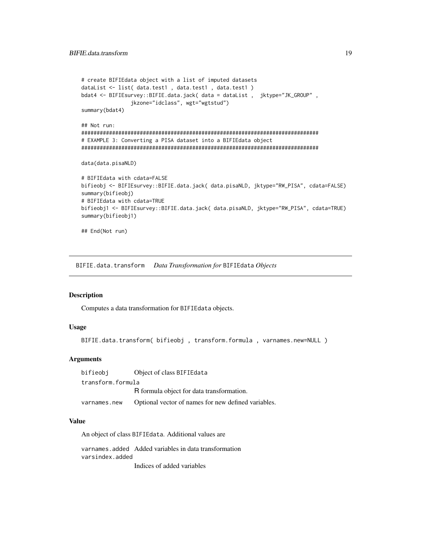```
# create BIFIEdata object with a list of imputed datasets
dataList <- list( data.test1, data.test1, data.test1)
bdat4 <- BIFIEsurvey::BIFIE.data.jack( data = dataList, jktype="JK_GROUP",
            jkzone="idclass", wgt="wgtstud")
summary(bdat4)
## Not run:
# EXAMPLE 3: Converting a PISA dataset into a BIFIEdata object
data(data.pisaNLD)
# BIFIEdata with cdata=FALSE
bifieobj <- BIFIEsurvey::BIFIE.data.jack( data.pisaNLD, jktype="RW_PISA", cdata=FALSE)
summary(bifieobj)
# BIFIEdata with cdata=TRUE
bifieobj1 <- BIFIEsurvey::BIFIE.data.jack( data.pisaNLD, jktype="RW_PISA", cdata=TRUE)
summary(bifieobj1)
```
## End(Not run)

<span id="page-18-1"></span>BIFIE.data.transform Data Transformation for BIFIEdata Objects

# **Description**

Computes a data transformation for BIFIEdata objects.

# **Usage**

```
BIFIE.data.transform(bifieobj, transform.formula, varnames.new=NULL)
```
#### **Arguments**

| bifieobi          | Object of class BIFIEdata                          |
|-------------------|----------------------------------------------------|
| transform.formula |                                                    |
|                   | R formula object for data transformation.          |
| varnames.new      | Optional vector of names for new defined variables |

#### **Value**

An object of class BIFIEdata. Additional values are

varnames.added Added variables in data transformation varsindex.added Indices of added variables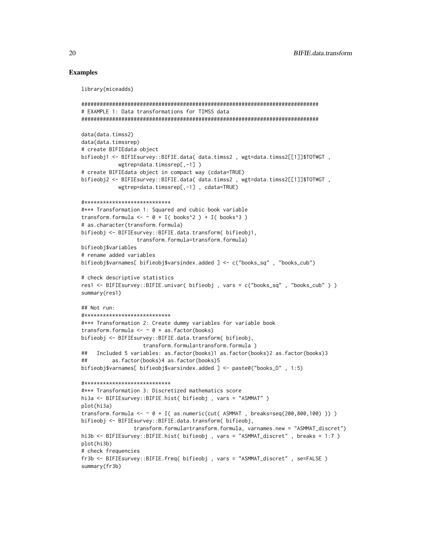#### **Examples**

```
library(miceadds)
```

```
# EXAMPLE 1: Data transformations for TIMSS data
data(data.timss2)
data(data.timssrep)
# create BIFIEdata object
bifieobj1 <- BIFIEsurvey::BIFIE.data( data.timss2 , wgt=data.timss2[[1]]$TOTWGT,
           wgtrep=data.timssrep[, -1])
# create BIFIEdata object in compact way (cdata=TRUE)
bifieobj2 <- BIFIEsurvey::BIFIE.data( data.timss2, wgt=data.timss2[[1]]$TOTWGT,
           wgtrep=data.timssrep[,-1], cdata=TRUE)
#****************************
#*** Transformation 1: Squared and cubic book variable
transform.formula <- \sim 0 + I( books^2 ) + I( books^3 )
# as.character(transform.formula)
bifieobj <- BIFIEsurvey::BIFIE.data.transform( bifieobj1,
                transform.formula=transform.formula)
bifieobj$variables
# rename added variables
bifieobj$varnames[ bifieobj$varsindex.added ] <- c("books_sq", "books_cub")
# check descriptive statistics
res1 <- BIFIEsurvey::BIFIE.univar( bifieobj, vars = c("books_sq", "books_cub"))
summary(res1)
## Not run:
#*****************************
#*** Transformation 2: Create dummy variables for variable book
transform.formula \leq -\infty + as.factor(books)
bifieobj <- BIFIEsurvey::BIFIE.data.transform( bifieobj,
                  transform.formula=transform.formula)
##Included 5 variables: as.factor(books)1 as.factor(books)2 as.factor(books)3
##as.factor(books)4 as.factor(books)5
bifieobj$varnames[ bifieobj$varsindex.added ] <- paste0("books_D", 1:5)
#****************************
#*** Transformation 3: Discretized mathematics score
hi3a <- BIFIEsurvey::BIFIE.hist( bifieobj, vars = "ASMMAT" )
plot(hi3a)
transform.formula <- \sim 0 + I( as.numeric(cut( ASMMAT, breaks=seq(200,800,100))))
bifieobj <- BIFIEsurvey::BIFIE.data.transform( bifieobj,
               transform.formula=transform.formula, varnames.new = "ASMMAT_discret")
hi3b <- BIFIEsurvey::BIFIE.hist( bifieobj, vars = "ASMMAT_discret", breaks = 1:7)
plot(hi3b)
# check frequencies
fr3b <- BIFIEsurvey::BIFIE.freq( bifieobj, vars = "ASMMAT_discret", se=FALSE)
summary(fr3b)
```
20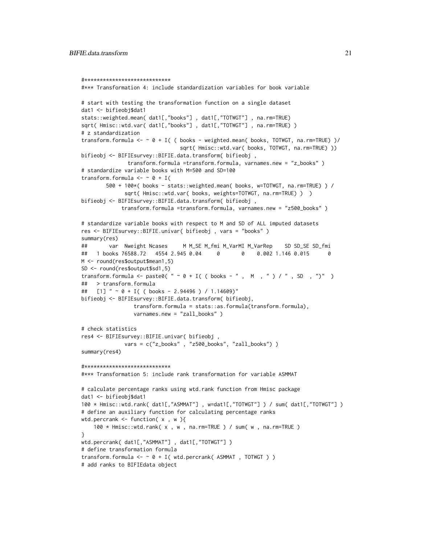```
#****************************
#*** Transformation 4: include standardization variables for book variable
# start with testing the transformation function on a single dataset
dat1 <- bifieobj$dat1
stats::weighted.mean( dat1[,"books"] , dat1[,"TOTWGT"] , na.rm=TRUE)
sqrt( Hmisc::wtd.var( dat1[,"books"] , dat1[,"TOTWGT"] , na.rm=TRUE) )
# z standardization
transform.formula <- \sim 0 + I( ( books - weighted.mean( books, TOTWGT, na.rm=TRUE) )/
                                sqrt( Hmisc::wtd.var( books, TOTWGT, na.rm=TRUE) ))
bifieobj <- BIFIEsurvey::BIFIE.data.transform( bifieobj ,
               transform.formula =transform.formula, varnames.new = "z_books" )
# standardize variable books with M=500 and SD=100
transform.formula \leftarrow \sim 0 + I(
        500 + 100*( books - stats::weighted.mean( books, w=TOTWGT, na.rm=TRUE) ) /
              sqrt( Hmisc::wtd.var( books, weights=TOTWGT, na.rm=TRUE) ) )
bifieobj <- BIFIEsurvey::BIFIE.data.transform( bifieobj ,
            transform.formula =transform.formula, varnames.new = "z500_books" )
# standardize variable books with respect to M and SD of ALL imputed datasets
res <- BIFIEsurvey::BIFIE.univar( bifieobj , vars = "books" )
summary(res)
## var Nweight Ncases M M_SE M_fmi M_VarMI M_VarRep SD SD_SE SD_fmi
## 1 books 76588.72  4554  2.945  0.04  0  0.002  1.146  0.015
M <- round(res$output$mean1,5)
SD <- round(res$output$sd1,5)
transform.formula <- paste0( " \sim 0 + I( ( books - " , M , " ) / " , SD , ")" )
## > transform.formula
## [1] " ~ 0 + I( ( books - 2.94496 ) / 1.14609)"
bifieobj <- BIFIEsurvey::BIFIE.data.transform( bifieobj,
                 transform.formula = stats::as.formula(transform.formula),
                 varnames.new = "zall_books" )
# check statistics
res4 <- BIFIEsurvey::BIFIE.univar( bifieobj ,
              vars = c("z_books" , "z500_books", "zall_books") )
summary(res4)
#****************************
#*** Transformation 5: include rank transformation for variable ASMMAT
# calculate percentage ranks using wtd.rank function from Hmisc package
dat1 <- bifieobj$dat1
100 * Hmisc::wtd.rank( dat1[,"ASMMAT"] , w=dat1[,"TOTWGT"] ) / sum( dat1[,"TOTWGT"] )
# define an auxiliary function for calculating percentage ranks
wtd.percrank \leq function( x , w ){
    100 * Hmisc::wtd.rank( x , w , na.rm=TRUE ) / sum( w , na.rm=TRUE )
}
wtd.percrank( dat1[,"ASMMAT"] , dat1[,"TOTWGT"] )
# define transformation formula
transform.formula <- ~ 0 + I( wtd.percrank( ASMMAT , TOTWGT ) )
# add ranks to BIFIEdata object
```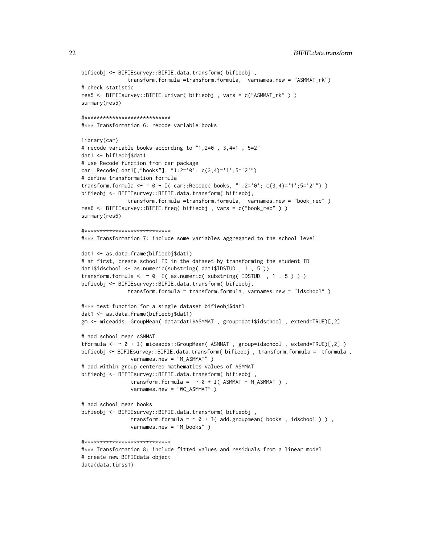```
bifieobj <- BIFIEsurvey::BIFIE.data.transform( bifieobj ,
               transform.formula =transform.formula, varnames.new = "ASMMAT_rk")
# check statistic
res5 <- BIFIEsurvey::BIFIE.univar( bifieobj , vars = c("ASMMAT_rk" ) )
summary(res5)
#****************************
#*** Transformation 6: recode variable books
library(car)
# recode variable books according to "1,2=0 , 3,4=1 , 5=2"
dat1 <- bifieobj$dat1
# use Recode function from car package
car::Recode( dat1[,"books"], "1:2='0'; c(3,4)='1';5='2'")
# define transformation formula
transform.formula <- \sim 0 + I( car::Recode( books, "1:2='0'; c(3,4)='1';5='2'"))
bifieobj <- BIFIEsurvey::BIFIE.data.transform( bifieobj,
               transform.formula =transform.formula, varnames.new = "book_rec" )
res6 <- BIFIEsurvey::BIFIE.freq( bifieobj , vars = c("book_rec" ) )
summary(res6)
#****************************
#*** Transformation 7: include some variables aggregated to the school level
dat1 <- as.data.frame(bifieobj$dat1)
# at first, create school ID in the dataset by transforming the student ID
dat1$idschool <- as.numeric(substring( dat1$IDSTUD , 1 , 5 ))
transform.formula \leq -\infty +I( as.numeric( substring( IDSTUD, 1, 5)))
bifieobj <- BIFIEsurvey::BIFIE.data.transform( bifieobj,
               transform.formula = transform.formula, varnames.new = "idschool" )
#*** test function for a single dataset bifieobj$dat1
dat1 <- as.data.frame(bifieobj$dat1)
gm <- miceadds::GroupMean( data=dat1$ASMMAT , group=dat1$idschool , extend=TRUE)[,2]
# add school mean ASMMAT
tformula <- ~ 0 + I( miceadds::GroupMean( ASMMAT , group=idschool , extend=TRUE)[,2] )
bifieobj <- BIFIEsurvey::BIFIE.data.transform( bifieobj , transform.formula = tformula ,
                varnames.new = "M_ASMMAT" )
# add within group centered mathematics values of ASMMAT
bifieobj <- BIFIEsurvey::BIFIE.data.transform( bifieobj ,
                transform.formula = \sim 0 + I( ASMMAT - M_ASMMAT ),
                varnames.new = "WC_ASMMAT" )
# add school mean books
bifieobj <- BIFIEsurvey::BIFIE.data.transform( bifieobj ,
                transform.formula = \sim 0 + I( add.groupmean( books, idschool ) ),
                varnames.new = "M_books" )
#****************************
#*** Transformation 8: include fitted values and residuals from a linear model
# create new BIFIEdata object
data(data.timss1)
```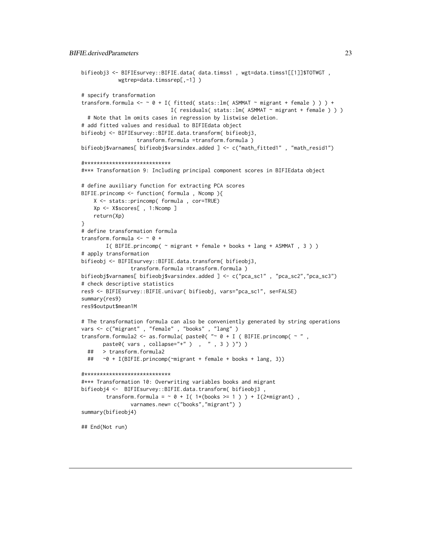```
bifieobj3 <- BIFIEsurvey::BIFIE.data( data.timss1 , wgt=data.timss1[[1]]$TOTWGT ,
            wgtrep=data.timssrep[,-1] )
# specify transformation
transform.formula \leftarrow \sim 0 + I( fitted( stats::lm( ASMMAT \sim migrant + female ) ) ) +
                             I( residuals( stats::lm( ASMMAT ~ migrant + female ) ) )
 # Note that lm omits cases in regression by listwise deletion.
# add fitted values and residual to BIFIEdata object
bifieobj <- BIFIEsurvey::BIFIE.data.transform( bifieobj3,
                  transform.formula =transform.formula )
bifieobj$varnames[ bifieobj$varsindex.added ] <- c("math_fitted1" , "math_resid1")
#****************************
#*** Transformation 9: Including principal component scores in BIFIEdata object
# define auxiliary function for extracting PCA scores
BIFIE.princomp <- function( formula , Ncomp ){
   X <- stats::princomp( formula , cor=TRUE)
   Xp <- X$scores[ , 1:Ncomp ]
   return(Xp)
}
# define transformation formula
transform.formula <- \sim 0 +
        I( BIFIE.princomp( ~ migrant + female + books + lang + ASMMAT , 3 ) )
# apply transformation
bifieobj <- BIFIEsurvey::BIFIE.data.transform( bifieobj3,
                transform.formula =transform.formula )
bifieobj$varnames[ bifieobj$varsindex.added ] <- c("pca_sc1" , "pca_sc2","pca_sc3")
# check descriptive statistics
res9 <- BIFIEsurvey::BIFIE.univar( bifieobj, vars="pca_sc1", se=FALSE)
summary(res9)
res9$output$mean1M
# The transformation formula can also be conveniently generated by string operations
vars <- c("migrant" , "female" , "books" , "lang" )
transform.formula2 <- as.formula( paste0( "\sim 0 + I ( BIFIE.princomp( \sim ",
       paste0( vars , collapse="+" ) , " , 3 ) )") )
 ## > transform.formula2
 ## ~0 + I(BIFIE.princomp(~migrant + female + books + lang, 3))
#****************************
#*** Transformation 10: Overwriting variables books and migrant
bifieobj4 <- BIFIEsurvey::BIFIE.data.transform( bifieobj3 ,
        transform.formula = \sim 0 + I( 1*(books >= 1 ) ) + I(2*migrant),
                varnames.new= c("books","migrant") )
summary(bifieobj4)
## End(Not run)
```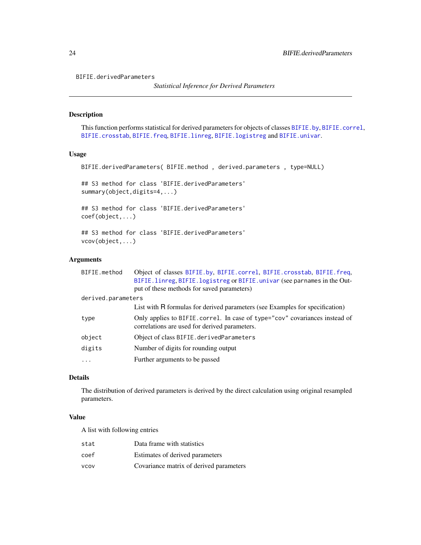<span id="page-23-0"></span>BIFIE.derivedParameters

```
Statistical Inference for Derived Parameters
```
# Description

This function performs statistical for derived parameters for objects of classes [BIFIE.by](#page-5-1), [BIFIE.correl](#page-8-1), [BIFIE.crosstab](#page-10-1), [BIFIE.freq](#page-26-1), [BIFIE.linreg](#page-29-1), [BIFIE.logistreg](#page-32-1) and [BIFIE.univar](#page-43-1).

#### Usage

```
BIFIE.derivedParameters( BIFIE.method , derived.parameters , type=NULL)
```
## S3 method for class 'BIFIE.derivedParameters' summary(object,digits=4,...)

## S3 method for class 'BIFIE.derivedParameters' coef(object,...)

## S3 method for class 'BIFIE.derivedParameters' vcov(object,...)

#### Arguments

| BIFIE.method       | Object of classes BIFIE.by, BIFIE.correl, BIFIE.crosstab, BIFIE.freq,                                                       |  |
|--------------------|-----------------------------------------------------------------------------------------------------------------------------|--|
|                    | BIFIE. linreg, BIFIE. logistreg or BIFIE. univar (see parnames in the Out-                                                  |  |
|                    | put of these methods for saved parameters)                                                                                  |  |
| derived.parameters |                                                                                                                             |  |
|                    | List with R formulas for derived parameters (see Examples for specification)                                                |  |
| type               | Only applies to BIFIE.correl. In case of type="cov" covariances instead of<br>correlations are used for derived parameters. |  |
| object             | Object of class BIFIE.derivedParameters                                                                                     |  |
| digits             | Number of digits for rounding output                                                                                        |  |
| $\ddots$ .         | Further arguments to be passed                                                                                              |  |

# Details

The distribution of derived parameters is derived by the direct calculation using original resampled parameters.

#### Value

A list with following entries

| stat | Data frame with statistics              |
|------|-----------------------------------------|
| coef | Estimates of derived parameters         |
| vcov | Covariance matrix of derived parameters |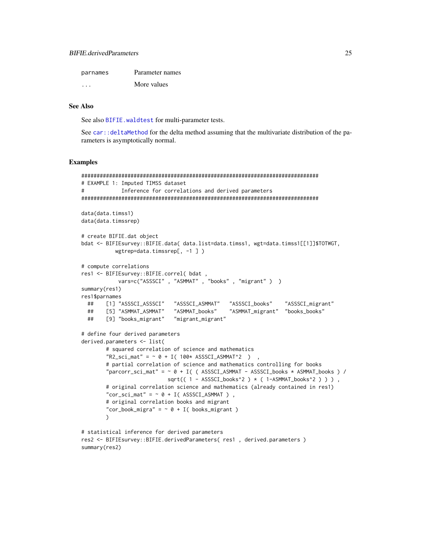<span id="page-24-0"></span>

| parnames | Parameter names |
|----------|-----------------|
| .        | More values     |

# **See Also**

See also BIFIE. waldtest for multi-parameter tests.

See car:: deltaMethod for the delta method assuming that the multivariate distribution of the parameters is asymptotically normal.

#### **Examples**

summary(res2)

```
# EXAMPLE 1: Imputed TIMSS dataset
#Inference for correlations and derived parameters
data(data.timss1)
data(data.timssrep)
# create BIFIE.dat object
bdat <- BIFIEsurvey::BIFIE.data( data.list=data.timss1, wgt=data.timss1[[1]]$TOTWGT,
         wgtrep=data.timssrep[, -1 ])
# compute correlations
res1 <- BIFIEsurvey::BIFIE.correl( bdat ,
          vars=c("ASSSCI", "ASMMAT", "books", "migrant") )
summary(res1)
res1$parnames
 ##[1] "ASSSCI_ASSSCI"
                          "ASSSCI_ASMMAT"
                                           "ASSSCI_books"
                                                           "ASSSCI_migrant"
 ##[5] "ASMMAT_ASMMAT"
                          "ASMMAT_books"
                                           "ASMMAT_migrant" "books_books"
      [9] "books_migrant"
                          "migrant_migrant"
 \# \## define four derived parameters
derived.parameters <- list(
       # squared correlation of science and mathematics
       "R2\_sci\_mat" = ~ 0 + I(100* ASSSCI\_ASMMAT^2) ,# partial correlation of science and mathematics controlling for books
       "parcorr_sci_mat" = \sim 0 + I( ( ASSSCI_ASMMAT - ASSSCI_books \star ASMMAT_books ) /
                         sqrt((1 - ASSSCI_books^2) * (1-ASMMAT_books^2)))),
       # original correlation science and mathematics (already contained in res1)
       "cor_sci_mat" = \sim 0 + I(ASSSCI_ASMMAT),
       # original correlation books and migrant
       "cor_book_migra" = \sim 0 + I( books_migrant )
       \mathcal{L}# statistical inference for derived parameters
res2 <- BIFIEsurvey::BIFIE.derivedParameters( res1, derived.parameters)
```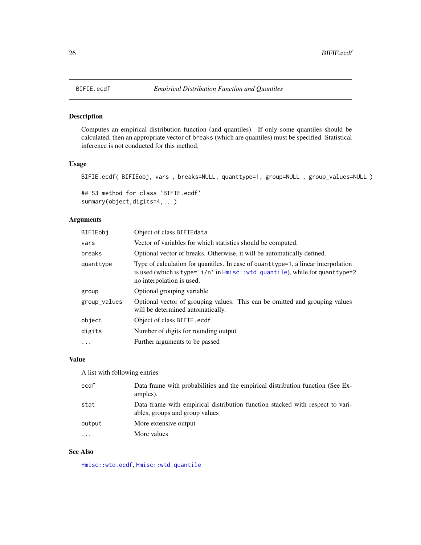<span id="page-25-0"></span>

# Description

Computes an empirical distribution function (and quantiles). If only some quantiles should be calculated, then an appropriate vector of breaks (which are quantiles) must be specified. Statistical inference is not conducted for this method.

# Usage

BIFIE.ecdf( BIFIEobj, vars , breaks=NULL, quanttype=1, group=NULL , group\_values=NULL )

## S3 method for class 'BIFIE.ecdf' summary(object,digits=4,...)

# Arguments

| Vector of variables for which statistics should be computed.                                                                                                                                          |
|-------------------------------------------------------------------------------------------------------------------------------------------------------------------------------------------------------|
|                                                                                                                                                                                                       |
| Optional vector of breaks. Otherwise, it will be automatically defined.                                                                                                                               |
| Type of calculation for quantiles. In case of quantity pe=1, a linear interpolation<br>is used (which is type= $i/n'$ in $Hmisc$ : wtd. quantile), while for quanttype=2<br>no interpolation is used. |
| Optional grouping variable                                                                                                                                                                            |
| Optional vector of grouping values. This can be omitted and grouping values<br>will be determined automatically.                                                                                      |
| Object of class BIFIE.ecdf                                                                                                                                                                            |
| Number of digits for rounding output                                                                                                                                                                  |
| Further arguments to be passed                                                                                                                                                                        |
|                                                                                                                                                                                                       |

# Value

A list with following entries

| ecdf      | Data frame with probabilities and the empirical distribution function (See Ex-<br>amples).                      |
|-----------|-----------------------------------------------------------------------------------------------------------------|
| stat      | Data frame with empirical distribution function stacked with respect to vari-<br>ables, groups and group values |
| output    | More extensive output                                                                                           |
| $\ddotsc$ | More values                                                                                                     |

# See Also

[Hmisc::wtd.ecdf](#page-0-0), [Hmisc::wtd.quantile](#page-0-0)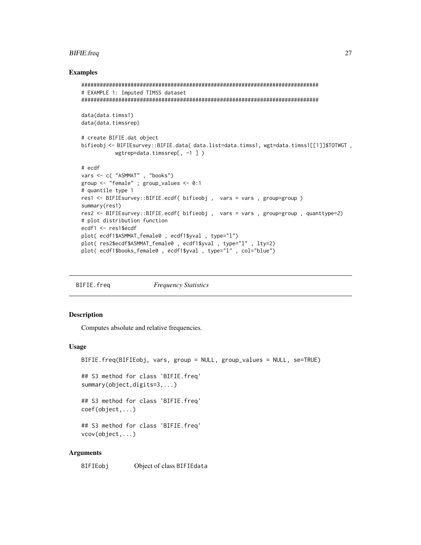# <span id="page-26-0"></span>**BIFIE.freq**

#### **Examples**

```
# EXAMPLE 1: Imputed TIMSS dataset
data(data.timss1)
data(data.timssrep)
# create BIFIE.dat object
bifieobj <- BIFIEsurvey::BIFIE.data( data.list=data.timss1, wgt=data.timss1[[1]]$TOTWGT,
        wgtrep=data.timssrep[, -1])
# ecdf
vars <- c( "ASMMAT", "books")
group \leq- "female" ; group_values \leq- 0:1
# quantile type 1
res1 <- BIFIEsurvey::BIFIE.ecdf( bifieobj, vars = vars, group=group)
summary(res1)
res2 <- BIFIEsurvey::BIFIE.ecdf( bifieobj, vars = vars, group=group, quanttype=2)
# plot distribution function
ecdf1 <- res1$ecdf
plot(ecdf1$ASMMAT_female0,ecdf1$yval,type="l")
plot(res2$ecdf$ASMMAT_female0, ecdf1$yval, type="l", lty=2)
plot(ecdf1$books_female0,ecdf1$yval,type="l",col="blue")
```
<span id="page-26-1"></span>BIFIE.freq **Frequency Statistics** 

#### **Description**

Computes absolute and relative frequencies.

#### **Usage**

BIFIE.freq(BIFIEobj, vars, group = NULL, group\_values = NULL, se=TRUE)

## S3 method for class 'BIFIE.freq'  $summary(object, digits=3,...)$ 

## S3 method for class 'BIFIE.freq'  $coef(object, \ldots)$ 

## S3 method for class 'BIFIE.freq'  $vcov(object, \ldots)$ 

#### **Arguments**

Object of class BIFIEdata BIFIEobj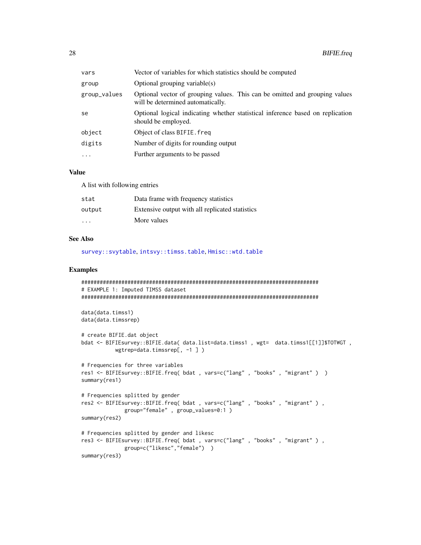<span id="page-27-0"></span>

| vars         | Vector of variables for which statistics should be computed                                                      |
|--------------|------------------------------------------------------------------------------------------------------------------|
| group        | Optional grouping variable $(s)$                                                                                 |
| group_values | Optional vector of grouping values. This can be omitted and grouping values<br>will be determined automatically. |
| se           | Optional logical indicating whether statistical inference based on replication<br>should be employed.            |
| object       | Object of class BIFIE. freq                                                                                      |
| digits       | Number of digits for rounding output                                                                             |
| .            | Further arguments to be passed                                                                                   |
|              |                                                                                                                  |

#### **Value**

A list with following entries

| stat                    | Data frame with frequency statistics            |
|-------------------------|-------------------------------------------------|
| output                  | Extensive output with all replicated statistics |
| $\cdot$ $\cdot$ $\cdot$ | More values                                     |

# **See Also**

survey::svytable, intsvy::timss.table, Hmisc::wtd.table

group=c("likesc","female") )

#### **Examples**

summary(res3)

```
# EXAMPLE 1: Imputed TIMSS dataset
data(data.timss1)
data(data.timssrep)
# create BIFIE.dat object
bdat <- BIFIEsurvey::BIFIE.data( data.list=data.timss1, wgt= data.timss1[[1]]$TOTWGT,
        wgtrep=data.timssrep[, -1 ])
# Frequencies for three variables
res1 <- BIFIEsurvey::BIFIE.freq( bdat, vars=c("lang", "books", "migrant") )
summarv(res1)# Frequencies splitted by gender
res2 <- BIFIEsurvey::BIFIE.freq(bdat, vars=c("lang", "books", "migrant"),
          group="female", group_values=0:1)
summary(res2)
# Frequencies splitted by gender and likesc
res3 <- BIFIEsurvey::BIFIE.freq( bdat, vars=c("lang", "books", "migrant"),
```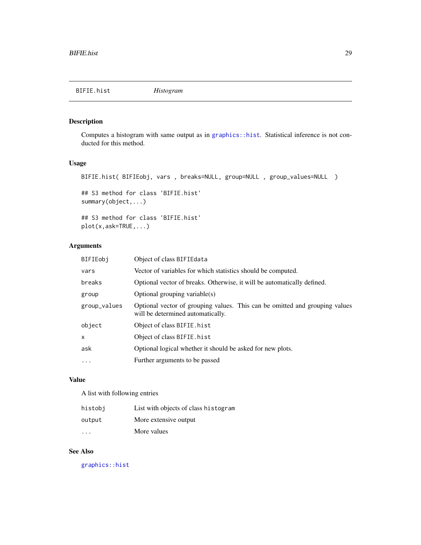<span id="page-28-0"></span>BIFIE.hist *Histogram*

# Description

Computes a histogram with same output as in [graphics::hist](#page-0-0). Statistical inference is not conducted for this method.

# Usage

BIFIE.hist( BIFIEobj, vars , breaks=NULL, group=NULL , group\_values=NULL )

## S3 method for class 'BIFIE.hist' summary(object,...)

## S3 method for class 'BIFIE.hist' plot(x,ask=TRUE,...)

# Arguments

| BIFIEobi     | Object of class BIFIEdata                                                                                        |
|--------------|------------------------------------------------------------------------------------------------------------------|
| vars         | Vector of variables for which statistics should be computed.                                                     |
| breaks       | Optional vector of breaks. Otherwise, it will be automatically defined.                                          |
| group        | Optional grouping variable $(s)$                                                                                 |
| group_values | Optional vector of grouping values. This can be omitted and grouping values<br>will be determined automatically. |
| object       | Object of class BIFIE.hist                                                                                       |
| $\times$     | Object of class BIFIE.hist                                                                                       |
| ask          | Optional logical whether it should be asked for new plots.                                                       |
| $\ddotsc$    | Further arguments to be passed                                                                                   |

# Value

A list with following entries

| histobi                 | List with objects of class histogram |
|-------------------------|--------------------------------------|
| output                  | More extensive output                |
| $\cdot$ $\cdot$ $\cdot$ | More values                          |

# See Also

[graphics::hist](#page-0-0)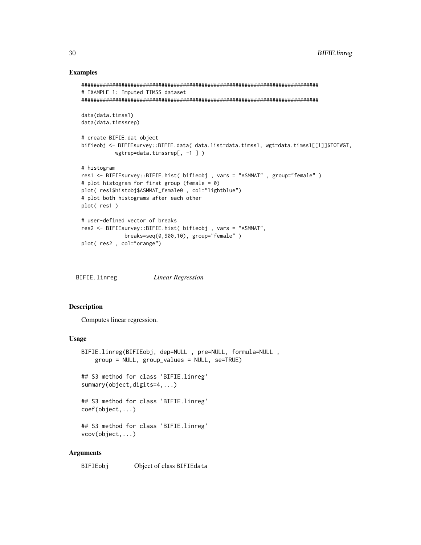#### **Examples**

```
# EXAMPLE 1: Imputed TIMSS dataset
data(data.timss1)
data(data.timssrep)
# create BIFIE.dat object
bifieobj <- BIFIEsurvey::BIFIE.data( data.list=data.timss1, wgt=data.timss1[[1]]$TOTWGT,
        wgtrep=data.timssrep[, -1 ])
# histogram
res1 <- BIFIEsurvey::BIFIE.hist( bifieobj , vars = "ASMMAT" , group="female" )
# plot histogram for first group (female = 0)
plot(res1$histobj$ASMMAT_female0, col="lightblue")
# plot both histograms after each other
plot(res1)
# user-defined vector of breaks
res2 <- BIFIEsurvey::BIFIE.hist( bifieobj, vars = "ASMMAT",
           breaks = seq(0, 900, 10), group="female" )plot(res2, col="orange")
```
<span id="page-29-1"></span>BIFIE.linreg **Linear Regression** 

## Description

Computes linear regression.

#### **Usage**

```
BIFIE.linreg(BIFIEobj, dep=NULL, pre=NULL, formula=NULL,
    group = NULL, group_values = NULL, seeTRUE)## S3 method for class 'BIFIE.linreg'
summary(object,digits=4,...)
## S3 method for class 'BIFIE.linreg'
coef(object, \ldots)## S3 method for class 'BIFIE.linreg'
vcov(object, \ldots)
```
# **Arguments**

Object of class BIFIEdata BIFIEobj

#### <span id="page-29-0"></span>30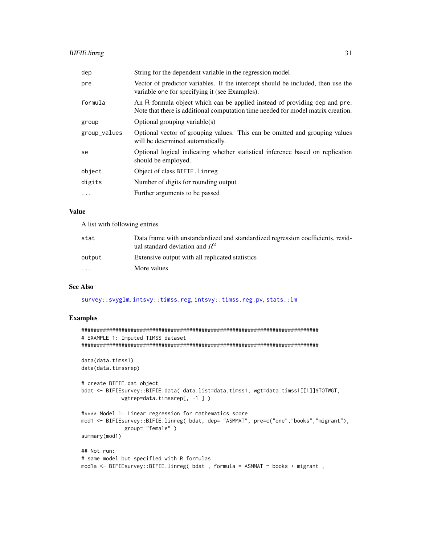<span id="page-30-0"></span>

| dep          | String for the dependent variable in the regression model                                                                                                      |
|--------------|----------------------------------------------------------------------------------------------------------------------------------------------------------------|
| pre          | Vector of predictor variables. If the intercept should be included, then use the<br>variable one for specifying it (see Examples).                             |
| formula      | An R formula object which can be applied instead of providing dep and pre.<br>Note that there is additional computation time needed for model matrix creation. |
| group        | Optional grouping variable $(s)$                                                                                                                               |
| group_values | Optional vector of grouping values. This can be omitted and grouping values<br>will be determined automatically.                                               |
| se           | Optional logical indicating whether statistical inference based on replication<br>should be employed.                                                          |
| object       | Object of class BIFIE. linreg                                                                                                                                  |
| digits       | Number of digits for rounding output                                                                                                                           |
| $\ddotsc$    | Further arguments to be passed                                                                                                                                 |

# **Value**

A list with following entries

| stat    | Data frame with unstandardized and standardized regression coefficients, resid-<br>ual standard deviation and $R^2$ |
|---------|---------------------------------------------------------------------------------------------------------------------|
| output  | Extensive output with all replicated statistics                                                                     |
| $\cdot$ | More values                                                                                                         |

#### **See Also**

survey::svyglm, intsvy::timss.reg, intsvy::timss.reg.pv, stats::lm

```
# EXAMPLE 1: Imputed TIMSS dataset
data(data.timss1)
data(data.timssrep)
# create BIFIE.dat object
bdat <- BIFIEsurvey::BIFIE.data( data.list=data.timss1, wgt=data.timss1[[1]]$TOTWGT,
          wgtrep=data.timssrep[, -1 ] )
#**** Model 1: Linear regression for mathematics score
mod1 <- BIFIEsurvey::BIFIE.linreg( bdat, dep= "ASMMAT", pre=c("one","books","migrant"),
          group= "female")
summary(mod1)
## Not run:
# same model but specified with R formulas
mod1a <- BIFIEsurvey::BIFIE.linreg( bdat, formula = ASMMAT ~ books + migrant,
```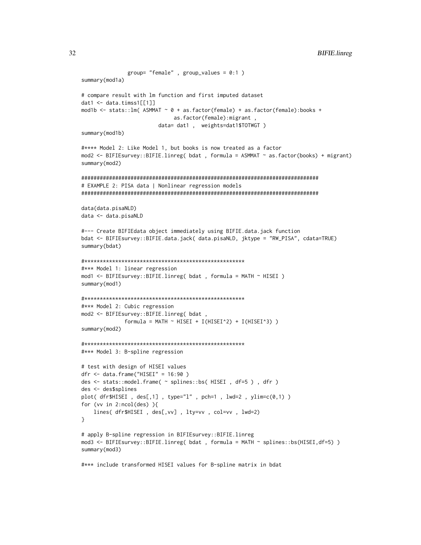```
group= "female", group_value = 0:1)summary(mod1a)
# compare result with lm function and first imputed dataset
dat1 < - data.time1]
mod1b <- stats::lm( ASMMAT ~ 0 + as.factor(female) + as.factor(female):books +
                        as.factor(female):migrant,
                    data= dat1, weights=dat1$TOTWGT)
summary(mod1b)
#**** Model 2: Like Model 1, but books is now treated as a factor
mod2 <- BIFIEsurvey::BIFIE.linreg( bdat , formula = ASMMAT ~ as.factor(books) + migrant)
summary(mod2)
# EXAMPLE 2: PISA data | Nonlinear regression models
data(data.pisaNLD)
data <- data.pisaNLD
#--- Create BIFIEdata object immediately using BIFIE.data.jack function
bdat <- BIFIEsurvey::BIFIE.data.jack( data.pisaNLD, jktype = "RW_PISA", cdata=TRUE)
summary(bdat)
#*** Model 1: linear regression
mod1 <- BIFIEsurvey::BIFIE.linreg( bdat , formula = MATH ~ HISEI )
summary(mod1)
#*** Model 2: Cubic regression
mod2 <- BIFIEsurvey::BIFIE.linreg( bdat,
           formula = MATLAB - HISEI + I(HISEI^2) + I(HISEI^3) )summary(mod2)
#*** Model 3: B-spline regression
# test with design of HISEI values
dfr \le- data.frame("HISEI" = 16:90)
des <- stats::model.frame( ~ splines::bs( HISEI, df=5), dfr)
des <- des$splines
plot( dfr$HISEI , des[,1] , type="1" , pch=1 , lwd=2 , ylim=c(0,1) )for (vv in 2:ncol(des)){
   lines( dfr$HISEI, des[, vv], lty=vv, col=vv, lwd=2)
\mathcal{F}# apply B-spline regression in BIFIEsurvey::BIFIE.linreg
mod3 <- BIFIEsurvey::BIFIE.linreg( bdat, formula = MATH ~ splines::bs(HISEI,df=5))
summary(mod3)
```
#\*\*\* include transformed HISEI values for B-spline matrix in bdat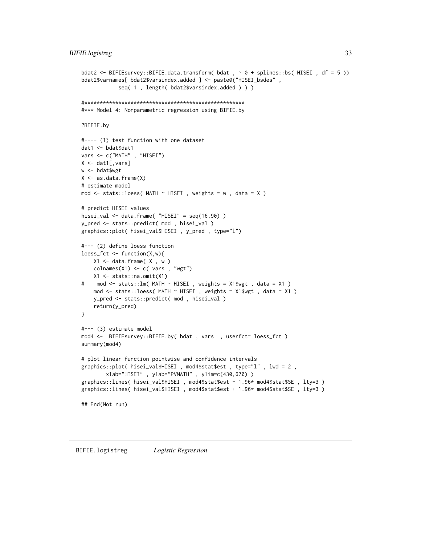```
bdat2 <- BIFIEsurvey::BIFIE.data.transform(bdat, \sim \theta + splines::bs(HISEI, df = 5))
bdat2$varnames[ bdat2$varsindex.added ] <- paste0("HISEI_bsdes",
            seq( 1, length( bdat2$varsindex.added ) ) )
#*** Model 4: Nonparametric regression using BIFIE.by
?BIFIE.by
#---- (1) test function with one dataset
dat1 <- bdat$dat1
vars <- c("MATH" , "HISEI")
X \leftarrow \text{dat1}[, \text{vars}]w <- bdat$wgt
X \leftarrow as.data-frame(X)# estimate model
mod <- stats::loess(MATH \sim HISEI, weights = w, data = X)
# predict HISEI values
hisei_val <- data.frame( "HISEI" = seq(16, 90))
y_pred <- stats::predict( mod, hisei_val)
graphics::plot( hisei_val$HISEI, y_pred, type="l")
#--- (2) define loess function
loss_fct \leftarrow function(X, w)X1 \leftarrow data . frame(X, w)\text{colnames}(X1) \leftarrow c(\text{vars}, \text{ "wgt"})X1 \leftarrow stats::na.omit(X1)
   mod <- stats::lm( MATH \sim HISEI , weights = X1$wgt , data = X1 )
#mod <- stats::loess(MATH \sim HISEI, weights = X1$wgt, data = X1)
   y_pred <- stats::predict( mod , hisei_val )
    return(y_pred)
\mathcal{E}#--- (3) estimate model
mod4 <- BIFIEsurvey::BIFIE.by( bdat, vars, userfct= loess_fct)
summary(mod4)
# plot linear function pointwise and confidence intervals
graphics::plot( hisei_val$HISEI , mod4$stat$est , type="l" , lwd = 2 ,
        xlab="HISEI", ylab="PVMATH", ylim=c(430,670))
graphics::lines( hisei_val$HISEI, mod4$stat$est - 1.96* mod4$stat$SE, lty=3)
graphics::lines( hisei_val$HISEI, mod4$stat$est + 1.96* mod4$stat$SE, lty=3)
## End(Not run)
```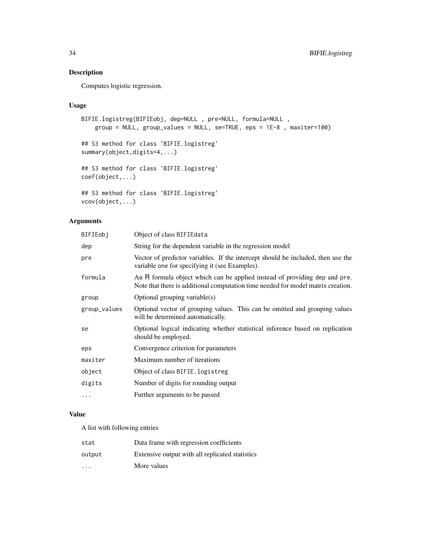# Description

Computes logistic regression.

# Usage

```
BIFIE.logistreg(BIFIEobj, dep=NULL , pre=NULL, formula=NULL ,
    group = NULL, group_values = NULL, se=TRUE, eps = 1E-8 , maxiter=100)
## S3 method for class 'BIFIE.logistreg'
summary(object,digits=4,...)
```
## S3 method for class 'BIFIE.logistreg' coef(object,...)

```
## S3 method for class 'BIFIE.logistreg'
vcov(object,...)
```
# Arguments

| BIFIEobi     | Object of class BIFIEdata                                                                                                                                      |
|--------------|----------------------------------------------------------------------------------------------------------------------------------------------------------------|
| dep          | String for the dependent variable in the regression model                                                                                                      |
| pre          | Vector of predictor variables. If the intercept should be included, then use the<br>variable one for specifying it (see Examples).                             |
| formula      | An R formula object which can be applied instead of providing dep and pre.<br>Note that there is additional computation time needed for model matrix creation. |
| group        | Optional grouping variable(s)                                                                                                                                  |
| group_values | Optional vector of grouping values. This can be omitted and grouping values<br>will be determined automatically.                                               |
| se           | Optional logical indicating whether statistical inference based on replication<br>should be employed.                                                          |
| eps          | Convergence criterion for parameters                                                                                                                           |
| maxiter      | Maximum number of iterations                                                                                                                                   |
| object       | Object of class BIFIE. logistreg                                                                                                                               |
| digits       | Number of digits for rounding output                                                                                                                           |
| $\cdots$     | Further arguments to be passed                                                                                                                                 |
|              |                                                                                                                                                                |

# Value

A list with following entries

| stat                    | Data frame with regression coefficients         |
|-------------------------|-------------------------------------------------|
| output                  | Extensive output with all replicated statistics |
| $\cdot$ $\cdot$ $\cdot$ | More values                                     |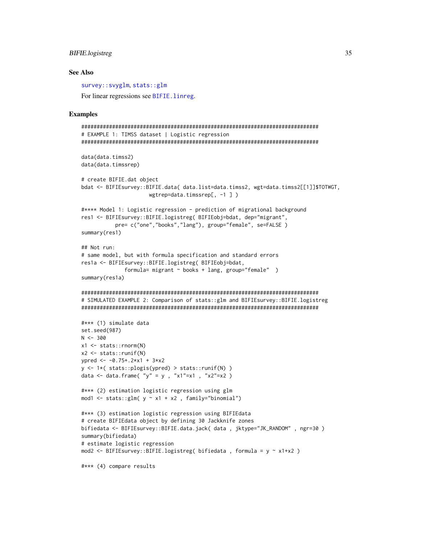#### <span id="page-34-0"></span>**BIFIE.logistreg**

#### **See Also**

survey::svyglm.stats::glm

For linear regressions see BIFIE. linreg.

```
# EXAMPLE 1: TIMSS dataset | Logistic regression
data(data.timss2)
data(data.timssrep)
# create BIFIE.dat object
bdat <- BIFIEsurvey::BIFIE.data( data.list=data.timss2, wgt=data.timss2[[1]]$TOTWGT,
                  wgtrep=data.timssrep[, -1])
#**** Model 1: Logistic regression - prediction of migrational background
res1 <- BIFIEsurvey::BIFIE.logistreg( BIFIEobj=bdat, dep="migrant",
         pre= c("one","books","lang"), group="female", se=FALSE)
summary(res1)
## Not run:
# same model, but with formula specification and standard errors
res1a <- BIFIEsurvey::BIFIE.logistreg( BIFIEobj=bdat,
           formula= migrant \sim books + lang, group="female" )
summary(res1a)
# SIMULATED EXAMPLE 2: Comparison of stats::glm and BIFIEsurvey::BIFIE.logistreg
#*** (1) simulate data
set.seed(987)
N < -300x1 \leftarrow stats:: rnorm(N)
x2 \leftarrow stats:: runif(N)
ypred <- -0.75 + .2*x1 + 3*x2y \le -1*( stats::plogis(ypred) > stats::runif(N))
data <- data.frame( "y" = y , "x1"=x1 , "x2"=x2 )
#*** (2) estimation logistic regression using glm
mod1 <- stats::glm(y \sim x1 + x2, family="binomial")
#*** (3) estimation logistic regression using BIFIEdata
# create BIFIEdata object by defining 30 Jackknife zones
bifiedata <- BIFIEsurvey::BIFIE.data.jack(data, jktype="JK_RANDOM", ngr=30)
summary(bifiedata)
# estimate logistic regression
mod2 <- BIFIEsurvey::BIFIE.logistreg( bifiedata, formula = y \sim x1+x2)
#*** (4) compare results
```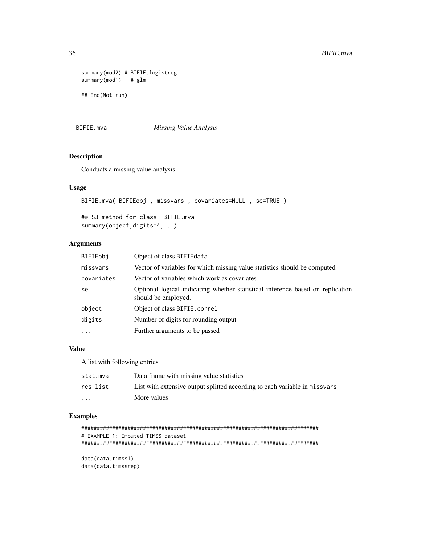```
summary(mod2) # BIFIE.logistreg
summary(mod1) # glm
## End(Not run)
```
### BIFIE.mva *Missing Value Analysis*

# Description

Conducts a missing value analysis.

# Usage

```
BIFIE.mva( BIFIEobj , missvars , covariates=NULL , se=TRUE )
```
## S3 method for class 'BIFIE.mva' summary(object,digits=4,...)

# Arguments

| BIFIEobj   | Object of class BIFIEdata                                                                             |
|------------|-------------------------------------------------------------------------------------------------------|
| missvars   | Vector of variables for which missing value statistics should be computed                             |
| covariates | Vector of variables which work as covariates                                                          |
| se         | Optional logical indicating whether statistical inference based on replication<br>should be employed. |
| object     | Object of class BIFIE.correl                                                                          |
| digits     | Number of digits for rounding output                                                                  |
| $\ddotsc$  | Further arguments to be passed                                                                        |

#### Value

A list with following entries

| stat.mva                | Data frame with missing value statistics                                   |
|-------------------------|----------------------------------------------------------------------------|
| res list                | List with extensive output splitted according to each variable in missvars |
| $\cdot$ $\cdot$ $\cdot$ | More values                                                                |

```
#############################################################################
# EXAMPLE 1: Imputed TIMSS dataset
#############################################################################
data(data.timss1)
data(data.timssrep)
```
<span id="page-35-0"></span>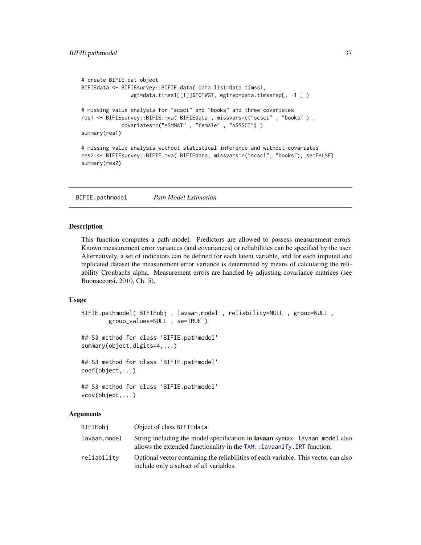```
# create BIFIE.dat object
BIFIEdata <- BIFIEsurvey::BIFIE.data( data.list=data.timss1,
                wgt=data.timss1[[1]]$TOTWGT, wgtrep=data.timssrep[, -1 ] )
# missing value analysis for "scsci" and "books" and three covariates
res1 <- BIFIEsurvey::BIFIE.mva( BIFIEdata , missvars=c("scsci" , "books" ) ,
             covariates=c("ASMMAT" , "female" , "ASSSCI") )
summary(res1)
# missing value analysis without statistical inference and without covariates
res2 <- BIFIEsurvey::BIFIE.mva( BIFIEdata, missvars=c("scsci", "books"), se=FALSE)
summary(res2)
```
<span id="page-36-1"></span>BIFIE.pathmodel *Path Model Estimation*

#### Description

This function computes a path model. Predictors are allowed to possess measurement errors. Known measurement error variances (and covariances) or reliabilities can be specified by the user. Alternatively, a set of indicators can be defined for each latent variable, and for each imputed and replicated dataset the measurement error variance is determined by means of calculating the reliability Cronbachs alpha. Measurement errors are handled by adjusting covariance matrices (see Buonaccorsi, 2010, Ch. 5).

#### Usage

```
BIFIE.pathmodel( BIFIEobj , lavaan.model , reliability=NULL , group=NULL ,
        group_values=NULL , se=TRUE )
## S3 method for class 'BIFIE.pathmodel'
summary(object,digits=4,...)
## S3 method for class 'BIFIE.pathmodel'
coef(object,...)
## S3 method for class 'BIFIE.pathmodel'
vcov(object,...)
```
#### **Arguments**

| BIFIEobi     | Object of class BIFIEdata                                                                                                                                          |
|--------------|--------------------------------------------------------------------------------------------------------------------------------------------------------------------|
| lavaan.model | String including the model specification in <b>lavaan</b> syntax. Lavaan model also<br>allows the extended functionality in the $TAM$ : : lavaanify. IRT function. |
| reliability  | Optional vector containing the reliabilities of each variable. This vector can also<br>include only a subset of all variables.                                     |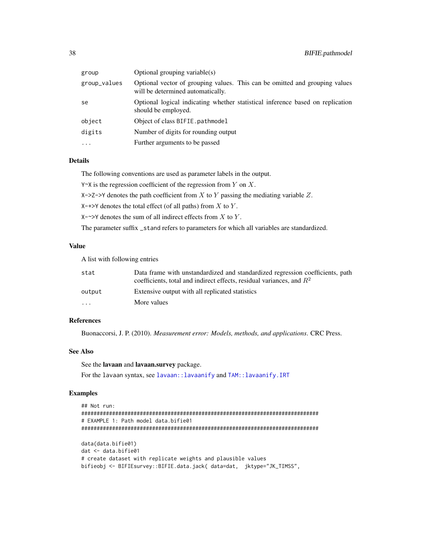<span id="page-37-0"></span>

| group        | Optional grouping variable(s)                                                                                    |
|--------------|------------------------------------------------------------------------------------------------------------------|
| group_values | Optional vector of grouping values. This can be omitted and grouping values<br>will be determined automatically. |
| se           | Optional logical indicating whether statistical inference based on replication<br>should be employed.            |
| object       | Object of class BIFIE.pathmodel                                                                                  |
| digits       | Number of digits for rounding output                                                                             |
| .            | Further arguments to be passed                                                                                   |
|              |                                                                                                                  |

# Details

The following conventions are used as parameter labels in the output.

 $Y^{\sim}X$  is the regression coefficient of the regression from Y on X.

 $X \rightarrow Z \rightarrow Y$  denotes the path coefficient from X to Y passing the mediating variable Z.

 $X \rightarrow Y$  denotes the total effect (of all paths) from X to Y.

 $X \rightarrow Y$  denotes the sum of all indirect effects from X to Y.

The parameter suffix \_stand refers to parameters for which all variables are standardized.

# Value

A list with following entries

| stat                    | Data frame with unstandardized and standardized regression coefficients, path<br>coefficients, total and indirect effects, residual variances, and $R^2$ |
|-------------------------|----------------------------------------------------------------------------------------------------------------------------------------------------------|
| output                  | Extensive output with all replicated statistics                                                                                                          |
| $\cdot$ $\cdot$ $\cdot$ | More values                                                                                                                                              |

# References

Buonaccorsi, J. P. (2010). *Measurement error: Models, methods, and applications*. CRC Press.

# See Also

See the lavaan and lavaan.survey package.

For the lavaan syntax, see [lavaan::lavaanify](#page-0-0) and [TAM::lavaanify.IRT](#page-0-0)

```
## Not run:
#############################################################################
# EXAMPLE 1: Path model data.bifie01
#############################################################################
data(data.bifie01)
dat <- data.bifie01
# create dataset with replicate weights and plausible values
bifieobj <- BIFIEsurvey::BIFIE.data.jack( data=dat, jktype="JK_TIMSS",
```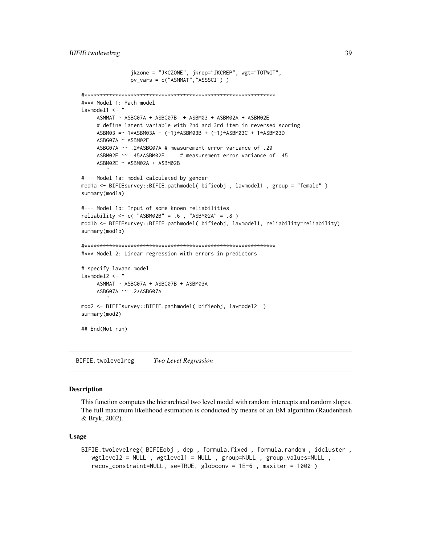```
jkzone = "JKCZONE", jkrep="JKCREP", wgt="TOTWGT",
                 pv_vars = c("ASMMAT","ASSSCI") )
#**************************************************************
#*** Model 1: Path model
lavmodel1 \leq-"
     ASMMAT ~ ASBG07A + ASBG07B + ASBM03 + ASBM02A + ASBM02E
     # define latent variable with 2nd and 3rd item in reversed scoring
     ASBM03 =~ 1*ASBM03A + (-1)*ASBM03B + (-1)*ASBM03C + 1*ASBM03D
     ASBG07A ~ ASBM02E
     ASBG07A ~~ .2*ASBG07A # measurement error variance of .20<br>ASBM02E ~~ .45*ASBM02E # measurement error variance o
                                  # measurement error variance of .45
     ASBM02E ~ ASBM02A + ASBM02B
        "
#--- Model 1a: model calculated by gender
mod1a <- BIFIEsurvey::BIFIE.pathmodel( bifieobj , lavmodel1 , group = "female" )
summary(mod1a)
#--- Model 1b: Input of some known reliabilities
reliability <- c( "ASBM02B" = .6 , "ASBM02A" = .8 )
mod1b <- BIFIEsurvey::BIFIE.pathmodel( bifieobj, lavmodel1, reliability=reliability)
summary(mod1b)
#**************************************************************
#*** Model 2: Linear regression with errors in predictors
# specify lavaan model
lavmodel2 <- "
     ASMMAT ~ ASBG07A + ASBG07B + ASBM03A
     ASBG07A ~~ .2*ASBG07A
        ^{\prime}mod2 <- BIFIEsurvey::BIFIE.pathmodel( bifieobj, lavmodel2 )
summary(mod2)
## End(Not run)
```
<span id="page-38-1"></span>BIFIE.twolevelreg *Two Level Regression*

#### **Description**

This function computes the hierarchical two level model with random intercepts and random slopes. The full maximum likelihood estimation is conducted by means of an EM algorithm (Raudenbush & Bryk, 2002).

#### Usage

```
BIFIE.twolevelreg( BIFIEobj , dep , formula.fixed , formula.random , idcluster ,
   wgtlevel2 = NULL , wgtlevel1 = NULL , group=NULL , group_values=NULL ,
   recov_constraint=NULL, se=TRUE, globconv = 1E-6 , maxiter = 1000 )
```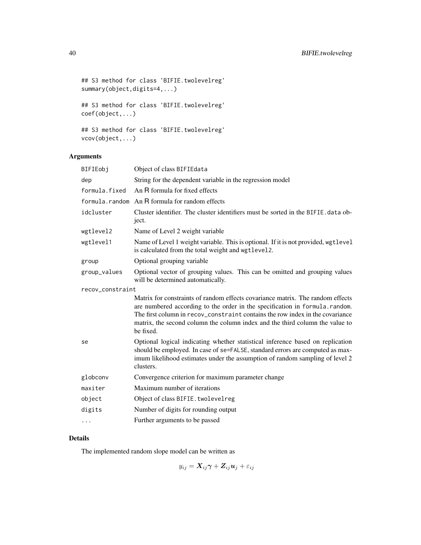```
## S3 method for class 'BIFIE.twolevelreg'
summary(object,digits=4,...)
## S3 method for class 'BIFIE.twolevelreg'
coef(object,...)
## S3 method for class 'BIFIE.twolevelreg'
vcov(object,...)
```
# Arguments

| BIFIEobj         | Object of class BIFIEdata                                                                                                                                                                                                                                                                                                                   |  |
|------------------|---------------------------------------------------------------------------------------------------------------------------------------------------------------------------------------------------------------------------------------------------------------------------------------------------------------------------------------------|--|
| dep              | String for the dependent variable in the regression model                                                                                                                                                                                                                                                                                   |  |
| formula.fixed    | An R formula for fixed effects                                                                                                                                                                                                                                                                                                              |  |
|                  | formula.random An R formula for random effects                                                                                                                                                                                                                                                                                              |  |
| idcluster        | Cluster identifier. The cluster identifiers must be sorted in the BIFIE data ob-<br>ject.                                                                                                                                                                                                                                                   |  |
| wgtlevel2        | Name of Level 2 weight variable                                                                                                                                                                                                                                                                                                             |  |
| wgtlevel1        | Name of Level 1 weight variable. This is optional. If it is not provided, wgtlevel<br>is calculated from the total weight and wgtlevel2.                                                                                                                                                                                                    |  |
| group            | Optional grouping variable                                                                                                                                                                                                                                                                                                                  |  |
| group_values     | Optional vector of grouping values. This can be omitted and grouping values<br>will be determined automatically.                                                                                                                                                                                                                            |  |
| recov_constraint |                                                                                                                                                                                                                                                                                                                                             |  |
|                  | Matrix for constraints of random effects covariance matrix. The random effects<br>are numbered according to the order in the specification in formula.random.<br>The first column in recov_constraint contains the row index in the covariance<br>matrix, the second column the column index and the third column the value to<br>be fixed. |  |
| se               | Optional logical indicating whether statistical inference based on replication<br>should be employed. In case of se=FALSE, standard errors are computed as max-<br>imum likelihood estimates under the assumption of random sampling of level 2<br>clusters.                                                                                |  |
| globconv         | Convergence criterion for maximum parameter change                                                                                                                                                                                                                                                                                          |  |
| maxiter          | Maximum number of iterations                                                                                                                                                                                                                                                                                                                |  |
| object           | Object of class BIFIE. twolevelreg                                                                                                                                                                                                                                                                                                          |  |
| digits           | Number of digits for rounding output                                                                                                                                                                                                                                                                                                        |  |
| .                | Further arguments to be passed                                                                                                                                                                                                                                                                                                              |  |
|                  |                                                                                                                                                                                                                                                                                                                                             |  |

# Details

The implemented random slope model can be written as

$$
y_{ij} = \bm{X}_{ij}\bm{\gamma} + \bm{Z}_{ij}\bm{u}_j + \varepsilon_{ij}
$$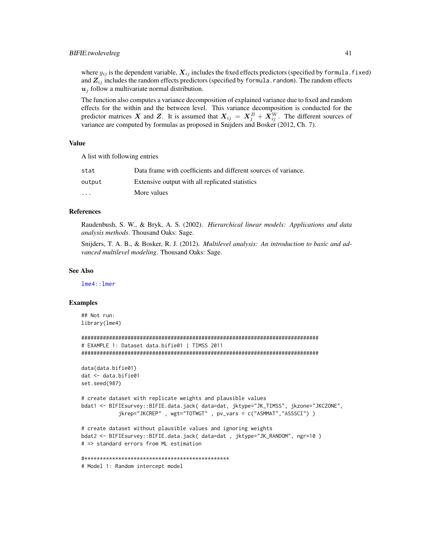<span id="page-40-0"></span>where  $y_{ij}$  is the dependent variable,  $X_{ij}$  includes the fixed effects predictors (specified by formula.fixed) and  $Z_{ij}$  includes the random effects predictors (specified by formula.random). The random effects  $u_i$  follow a multivariate normal distribution.

The function also computes a variance decomposition of explained variance due to fixed and random effects for the within and the between level. This variance decomposition is conducted for the predictor matrices X and Z. It is assumed that  $X_{ij} = X_j^B + X_{ij}^W$ . The different sources of variance are computed by formulas as proposed in Snijders and Bosker (2012, Ch. 7).

#### Value

A list with following entries

| stat                    | Data frame with coefficients and different sources of variance. |
|-------------------------|-----------------------------------------------------------------|
| output                  | Extensive output with all replicated statistics                 |
| $\cdot$ $\cdot$ $\cdot$ | More values                                                     |

# References

Raudenbush, S. W., & Bryk, A. S. (2002). *Hierarchical linear models: Applications and data analysis methods*. Thousand Oaks: Sage.

Snijders, T. A. B., & Bosker, R. J. (2012). *Multilevel analysis: An introduction to basic and advanced multilevel modeling*. Thousand Oaks: Sage.

#### See Also

[lme4::lmer](#page-0-0)

```
## Not run:
library(lme4)
```

```
#############################################################################
# EXAMPLE 1: Dataset data.bifie01 | TIMSS 2011
#############################################################################
data(data.bifie01)
dat <- data.bifie01
set.seed(987)
```

```
# create dataset with replicate weights and plausible values
bdat1 <- BIFIEsurvey::BIFIE.data.jack( data=dat, jktype="JK_TIMSS", jkzone="JKCZONE",
           jkrep="JKCREP" , wgt="TOTWGT" , pv_vars = c("ASMMAT","ASSSCI") )
```

```
# create dataset without plausible values and ignoring weights
bdat2 <- BIFIEsurvey::BIFIE.data.jack( data=dat , jktype="JK_RANDOM", ngr=10 )
# => standard errors from ML estimation
```

```
#***********************************************
# Model 1: Random intercept model
```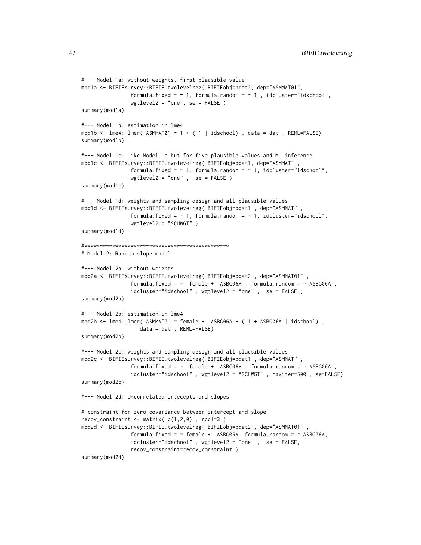```
#--- Model 1a: without weights, first plausible value
mod1a <- BIFIEsurvey::BIFIE.twolevelreg( BIFIEobj=bdat2, dep="ASMMAT01",
                formula.fixed = \sim 1, formula.random = \sim 1, idcluster="idschool",
                wgtlevel2 = "one", se = FALSE )
summary(mod1a)
#--- Model 1b: estimation in lme4
mod1b \le - lme4::lmer( ASMMAT01 \sim 1 + ( 1 | idschool), data = dat, REML=FALSE)
summary(mod1b)
#--- Model 1c: Like Model 1a but for five plausible values and ML inference
mod1c <- BIFIEsurvey::BIFIE.twolevelreg( BIFIEobj=bdat1, dep="ASMMAT" ,
                formula.fixed = \sim 1, formula.random = \sim 1, idcluster="idschool",
                wgtlevel2 = "one" , se = FALSE )
summary(mod1c)
#--- Model 1d: weights and sampling design and all plausible values
mod1d <- BIFIEsurvey::BIFIE.twolevelreg( BIFIEobj=bdat1 , dep="ASMMAT" ,
                formula.fixed = \sim 1, formula.random = \sim 1, idcluster="idschool",
                wgtlevel2 = "SCHWGT" )
summary(mod1d)
#***********************************************
# Model 2: Random slope model
#--- Model 2a: without weights
mod2a <- BIFIEsurvey::BIFIE.twolevelreg( BIFIEobj=bdat2 , dep="ASMMAT01" ,
                formula.fixed = \sim female + ASBG06A , formula.random = \sim ASBG06A ,
                idcluster="idschool" , wgtlevel2 = "one" , se = FALSE )
summary(mod2a)
#--- Model 2b: estimation in lme4
mod2b \leq 1me4::lmer( ASMMAT01 \sim female + ASBG06A + (1 + ASBG06A | idschool),
                   data = dat , REML=FALSE)
summary(mod2b)
#--- Model 2c: weights and sampling design and all plausible values
mod2c <- BIFIEsurvey::BIFIE.twolevelreg( BIFIEobj=bdat1 , dep="ASMMAT" ,
                formula.fixed = \sim female + ASBG06A, formula.random = \sim ASBG06A
                idcluster="idschool" , wgtlevel2 = "SCHWGT" , maxiter=500 , se=FALSE)
summary(mod2c)
#--- Model 2d: Uncorrelated intecepts and slopes
# constraint for zero covariance between intercept and slope
recov_constraint \leq matrix(c(1,2,0), ncol=3)
mod2d <- BIFIEsurvey::BIFIE.twolevelreg( BIFIEobj=bdat2 , dep="ASMMAT01" ,
                formula.fixed = \sim female + ASBG06A, formula.random = \sim ASBG06A,
                idcluster="idschool" , wgtlevel2 = "one" , se = FALSE,
                recov_constraint=recov_constraint )
summary(mod2d)
```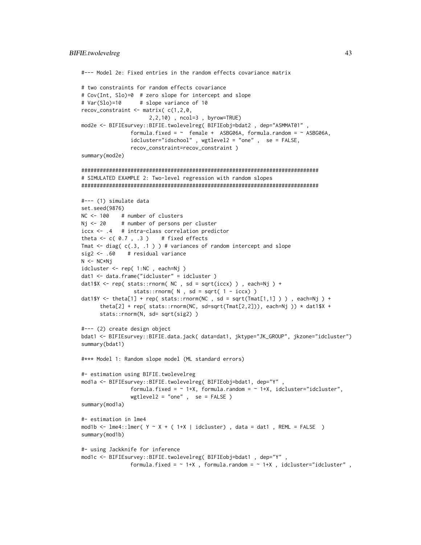```
#--- Model 2e: Fixed entries in the random effects covariance matrix
# two constraints for random effects covariance
# Cov(Int, Slo)=0 # zero slope for intercept and slope
# Var(Slo)=10
              # slope variance of 10
recov_constraint <- matrix(c(1,2,0,2,2,10), ncol=3, byrow=TRUE)
mod2e <- BIFIEsurvey::BIFIE.twolevelreg( BIFIEobj=bdat2, dep="ASMMAT01",
               formula.fixed = \sim female + ASBG06A, formula.random = \sim ASBG06A,
               idcluster="idschool", wgtlevel2 = "one", se = FALSE,
               recov_constraint=recov_constraint )
summary(mod2e)
# SIMULATED EXAMPLE 2: Two-level regression with random slopes
#--- (1) simulate data
set.seed(9876)
NC < -100# number of clusters
Nj <- 20
           # number of persons per cluster
iccx <- .4 # intra-class correlation predictor
theta \leq c( 0.7, .3) # fixed effects
Tmat \le diag(c(.3, .1)) # variances of random intercept and slope
sig2 \leftarrow .60 # residual variance
N \leq NC*Nj
idcluster \le rep(1:NC, each=Nj)dat1 <- data.frame("idcluster" = idcluster)
dat1$X <- rep( stats::rnorm( NC , sd = sqrt(iccx) ) , each=Nj ) +
               stats::rnorm(N, sd = sqrt(1 - iccx))
dat1$Y <- theta[1] + rep( stats::rnorm(NC , sd = sqrt(Tmat[1,1] ) ) , each=Nj ) +
     theta[2] + rep( stats::rnorm(NC, sd=sqrt(Tmat[2,2])), each=Nj )) * dat1$X +
     stats::rnorm(N, sd= sqrt(sig2))
#--- (2) create design object
bdat1 <- BIFIEsurvey::BIFIE.data.jack( data=dat1, jktype="JK_GROUP", jkzone="idcluster")
summary(bdat1)
#*** Model 1: Random slope model (ML standard errors)
#- estimation using BIFIE.twolevelreg
mod1a <- BIFIEsurvey::BIFIE.twolevelreg( BIFIEobj=bdat1, dep="Y",
              formula.fixed = \sim 1+X, formula.random = \sim 1+X, idcluster="idcluster",
              wgtlevel2 = "one", se = FALSE)
summary(mod1a)
#- estimation in lme4
mod1b <- lme4::lmer( Y \sim X + (1+X) idcluster), data = dat1, REML = FALSE )
summary(mod1b)
#- using Jackknife for inference
mod1c <- BIFIEsurvey::BIFIE.twolevelreg( BIFIEobj=bdat1, dep="Y"
              formula.fixed = \sim 1+X, formula.random = \sim 1+X, idcluster="idcluster",
```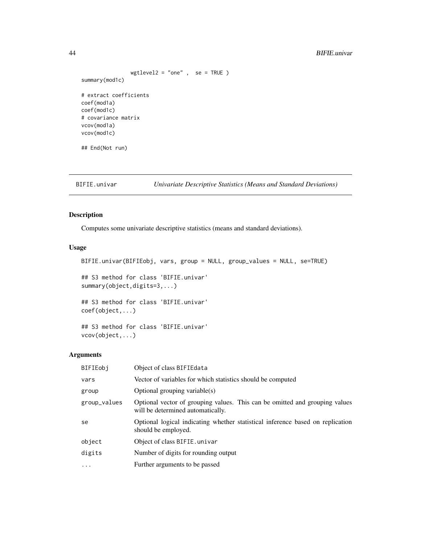```
wgtlevel2 = "one" , se = TRUE )
summary(mod1c)
# extract coefficients
coef(mod1a)
coef(mod1c)
# covariance matrix
vcov(mod1a)
vcov(mod1c)
## End(Not run)
```
<span id="page-43-1"></span>BIFIE.univar *Univariate Descriptive Statistics (Means and Standard Deviations)*

# Description

Computes some univariate descriptive statistics (means and standard deviations).

# Usage

```
BIFIE.univar(BIFIEobj, vars, group = NULL, group_values = NULL, se=TRUE)
## S3 method for class 'BIFIE.univar'
```
summary(object,digits=3,...)

## S3 method for class 'BIFIE.univar' coef(object,...)

## S3 method for class 'BIFIE.univar' vcov(object,...)

# Arguments

| BIFIEobj     | Object of class BIFIEdata                                                                                        |
|--------------|------------------------------------------------------------------------------------------------------------------|
| vars         | Vector of variables for which statistics should be computed                                                      |
| group        | Optional grouping variable $(s)$                                                                                 |
| group_values | Optional vector of grouping values. This can be omitted and grouping values<br>will be determined automatically. |
| se           | Optional logical indicating whether statistical inference based on replication<br>should be employed.            |
| object       | Object of class BIFIE. univar                                                                                    |
| digits       | Number of digits for rounding output                                                                             |
| $\ddotsc$    | Further arguments to be passed                                                                                   |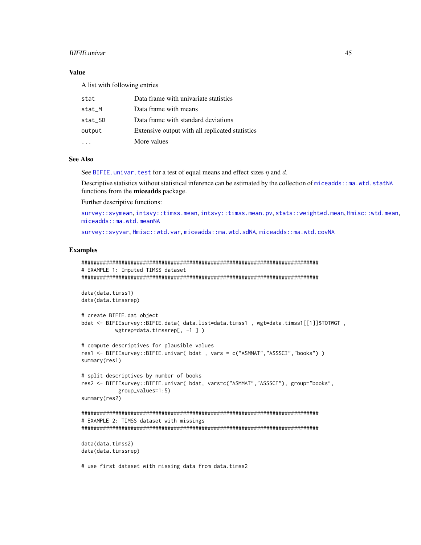## <span id="page-44-0"></span>**BIFIE.univar**

# **Value**

A list with following entries

| stat    | Data frame with univariate statistics           |
|---------|-------------------------------------------------|
| stat_M  | Data frame with means                           |
| stat_SD | Data frame with standard deviations             |
| output  | Extensive output with all replicated statistics |
|         | More values                                     |

# **See Also**

See BIFIE. univar. test for a test of equal means and effect sizes  $\eta$  and d.

Descriptive statistics without statistical inference can be estimated by the collection of miceadds: : ma. wtd. statNA functions from the miceadds package.

Further descriptive functions:

```
survey::svymean, intsvy::timss.mean, intsvy::timss.mean.pv, stats::weighted.mean, Hmisc::wtd.mean,
miceadds::ma.wtd.meanNA
```
survey::svyvar, Hmisc::wtd.var, miceadds::ma.wtd.sdNA, miceadds::ma.wtd.covNA

```
# EXAMPLE 1: Imputed TIMSS dataset
data(data.timss1)
data(data.timssrep)
# create BIFIE.dat object
bdat <- BIFIEsurvey::BIFIE.data( data.list=data.timss1, wgt=data.timss1[[1]]$TOTWGT,
       wgtrep=data.timssrep[, -1])
# compute descriptives for plausible values
res1 <- BIFIEsurvey::BIFIE.univar( bdat, vars = c("ASMMAT","ASSSCI","books") )
summary(res1)
# split descriptives by number of books
res2 <- BIFIEsurvey::BIFIE.univar( bdat, vars=c("ASMMAT","ASSSCI"), group="books",
        group_values=1:5)
summary(res2)
# EXAMPLE 2: TIMSS dataset with missings
data(data.timss2)
data(data.timssrep)
# use first dataset with missing data from data.timss2
```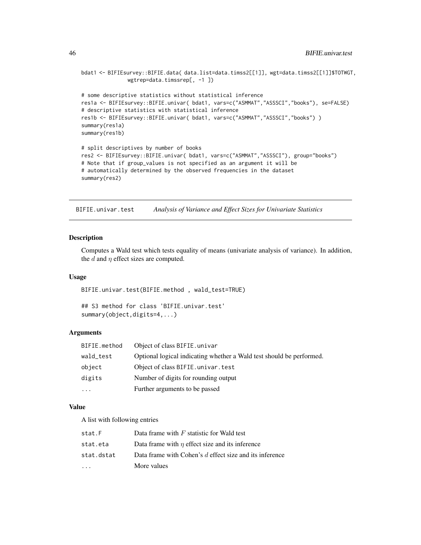```
bdat1 <- BIFIEsurvey::BIFIE.data( data.list=data.timss2[[1]], wgt=data.timss2[[1]]$TOTWGT,
              wgtrep=data.timssrep[, -1 ])
# some descriptive statistics without statistical inference
res1a <- BIFIEsurvey::BIFIE.univar( bdat1, vars=c("ASMMAT","ASSSCI","books"), se=FALSE)
# descriptive statistics with statistical inference
res1b <- BIFIEsurvey::BIFIE.univar( bdat1, vars=c("ASMMAT","ASSSCI","books") )
summary(res1a)
summary(res1b)
# split descriptives by number of books
res2 <- BIFIEsurvey::BIFIE.univar( bdat1, vars=c("ASMMAT","ASSSCI"), group="books")
# Note that if group_values is not specified as an argument it will be
# automatically determined by the observed frequencies in the dataset
summary(res2)
```
<span id="page-45-1"></span>BIFIE.univar.test *Analysis of Variance and Effect Sizes for Univariate Statistics*

# Description

Computes a Wald test which tests equality of means (univariate analysis of variance). In addition, the  $d$  and  $\eta$  effect sizes are computed.

#### Usage

BIFIE.univar.test(BIFIE.method , wald\_test=TRUE)

## S3 method for class 'BIFIE.univar.test' summary(object,digits=4,...)

# Arguments

| BIFIE.method | Object of class BIFIE. univar                                        |
|--------------|----------------------------------------------------------------------|
| wald_test    | Optional logical indicating whether a Wald test should be performed. |
| object       | Object of class BIFIE.univar.test                                    |
| digits       | Number of digits for rounding output                                 |
| $\ddotsc$    | Further arguments to be passed                                       |

#### Value

A list with following entries

| stat.F     | Data frame with $F$ statistic for Wald test             |
|------------|---------------------------------------------------------|
| stat.eta   | Data frame with $\eta$ effect size and its inference    |
| stat.dstat | Data frame with Cohen's d effect size and its inference |
|            | More values                                             |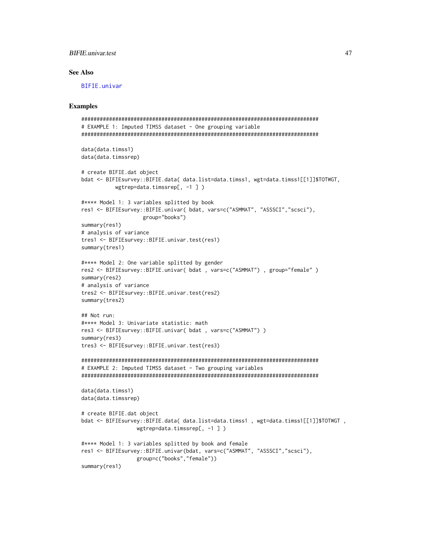# <span id="page-46-0"></span>**BIFIE.univar.test**

# **See Also**

BIFIE.univar

```
# EXAMPLE 1: Imputed TIMSS dataset - One grouping variable
data(data.timss1)
data(data.timssrep)
# create BIFIE.dat object
bdat <- BIFIEsurvey::BIFIE.data( data.list=data.timss1, wgt=data.timss1[[1]]$TOTWGT,
        wgtrep=data.timssrep[, -1])
#**** Model 1: 3 variables splitted by book
res1 <- BIFIEsurvey::BIFIE.univar(bdat, vars=c("ASMMAT", "ASSSCI","scsci"),
                group="books")
summary(res1)
# analysis of variance
tres1 <- BIFIEsurvey::BIFIE.univar.test(res1)
summary(tres1)
#**** Model 2: One variable splitted by gender
res2 <- BIFIEsurvey::BIFIE.univar( bdat, vars=c("ASMMAT"), group="female")
summary(res2)
# analysis of variance
tres2 <- BIFIEsurvey::BIFIE.univar.test(res2)
summary(tres2)
## Not run:
#**** Model 3: Univariate statistic: math
res3 <- BIFIEsurvey::BIFIE.univar( bdat, vars=c("ASMMAT") )
summary(res3)
tres3 <- BIFIEsurvey::BIFIE.univar.test(res3)
# EXAMPLE 2: Imputed TIMSS dataset - Two grouping variables
data(data.timss1)
data(data.timssrep)
# create BIFIE.dat object
bdat <- BIFIEsurvey::BIFIE.data( data.list=data.timss1, wgt=data.timss1[[1]]$TOTWGT,
              wgtrep=data.timssrep[, -1 ])
#**** Model 1: 3 variables splitted by book and female
res1 <- BIFIEsurvey::BIFIE.univar(bdat, vars=c("ASMMAT", "ASSSCI","scsci"),
              group=c("books","female"))
summary(res1)
```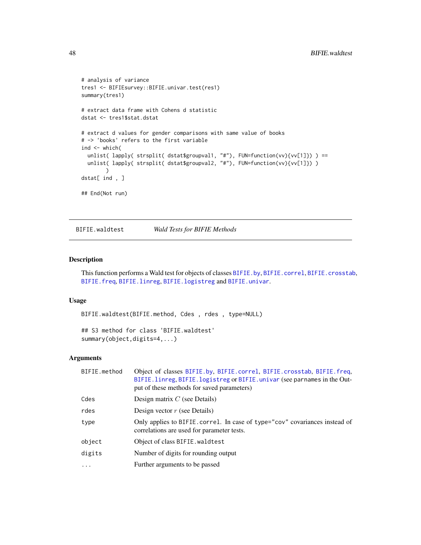```
# analysis of variance
tres1 <- BIFIEsurvey::BIFIE.univar.test(res1)
summary(tres1)
# extract data frame with Cohens d statistic
dstat <- tres1$stat.dstat
# extract d values for gender comparisons with same value of books
# -> 'books' refers to the first variable
ind <- which(
  unlist( lapply( strsplit( dstat$groupval1, "#"), FUN=function(vv){vv[1]}) ) ==
  unlist( lapply( strsplit( dstat$groupval2, "#"), FUN=function(vv){vv[1]}) )
        )
dstat[ ind , ]
## End(Not run)
```
<span id="page-47-1"></span>BIFIE.waldtest *Wald Tests for BIFIE Methods*

#### Description

This function performs a Wald test for objects of classes [BIFIE.by](#page-5-1), [BIFIE.correl](#page-8-1), [BIFIE.crosstab](#page-10-1), [BIFIE.freq](#page-26-1), [BIFIE.linreg](#page-29-1), [BIFIE.logistreg](#page-32-1) and [BIFIE.univar](#page-43-1).

#### Usage

BIFIE.waldtest(BIFIE.method, Cdes , rdes , type=NULL)

## S3 method for class 'BIFIE.waldtest' summary(object,digits=4,...)

## Arguments

| BIFIE.method | Object of classes BIFIE.by, BIFIE.correl, BIFIE.crosstab, BIFIE.freq,<br>BIFIE. linreg, BIFIE. logistreg or BIFIE. univar (see parnames in the Out-<br>put of these methods for saved parameters) |
|--------------|---------------------------------------------------------------------------------------------------------------------------------------------------------------------------------------------------|
| Cdes         | Design matrix $C$ (see Details)                                                                                                                                                                   |
| rdes         | Design vector $r$ (see Details)                                                                                                                                                                   |
| type         | Only applies to BIFIE.correl. In case of type="cov" covariances instead of<br>correlations are used for parameter tests.                                                                          |
| object       | Object of class BIFIE. waldtest                                                                                                                                                                   |
| digits       | Number of digits for rounding output                                                                                                                                                              |
| $\ddotsc$    | Further arguments to be passed                                                                                                                                                                    |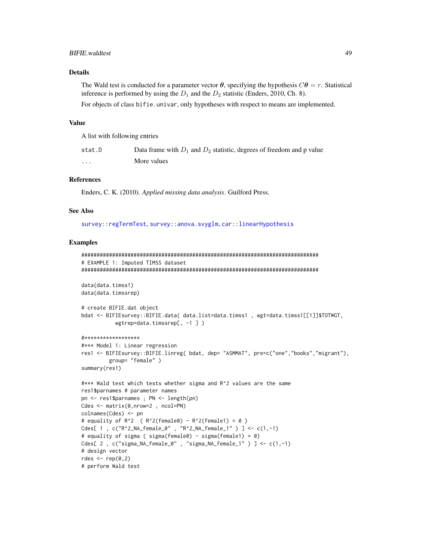## <span id="page-48-0"></span>**BIFIE**.waldtest

# **Details**

The Wald test is conducted for a parameter vector  $\theta$ , specifying the hypothesis  $C\theta = r$ . Statistical inference is performed by using the  $D_1$  and the  $D_2$  statistic (Enders, 2010, Ch. 8).

For objects of class bifie. univar, only hypotheses with respect to means are implemented.

#### **Value**

A list with following entries

| stat.D | Data frame with $D_1$ and $D_2$ statistic, degrees of freedom and p value |
|--------|---------------------------------------------------------------------------|
| .      | More values                                                               |

#### **References**

Enders, C. K. (2010). Applied missing data analysis. Guilford Press.

#### **See Also**

survey::regTermTest, survey::anova.svyglm, car::linearHypothesis

```
# EXAMPLE 1: Imputed TIMSS dataset
data(data.timss1)
data(data.timssrep)
# create BIFIE.dat object
bdat <- BIFIEsurvey::BIFIE.data( data.list=data.timss1, wgt=data.timss1[[1]]$TOTWGT,
         wgtrep=data.timssrep[, -1 ])
#******************
#*** Model 1: Linear regression
res1 <- BIFIEsurvey::BIFIE.linreg( bdat, dep= "ASMMAT", pre=c("one","books","migrant"),
       group= "female")
summary(res1)
#*** Wald test which tests whether sigma and R^2 values are the same
res1$parnames # parameter names
pn <- res1$parnames ; PN <- length(pn)
Cdes \leq matrix(0, nrow=2, ncol=PN)
colnames(Cdes) <- pn
# equality of R^2 (R^2(female0) - R^2(female1) = 0)
Cdes[ 1, c("R^2_NA_female_0", "R^2_NA_female_1") ] <- c(1,-1)
# equality of sigma ( sigma(female0) - sigma(female1) = 0)
Cdes[ 2, c("sigma_NA_female_0", "sigma_NA_female_1" ) ] <- c(1,-1)# design vector
rdes <- rep(0,2)# perform Wald test
```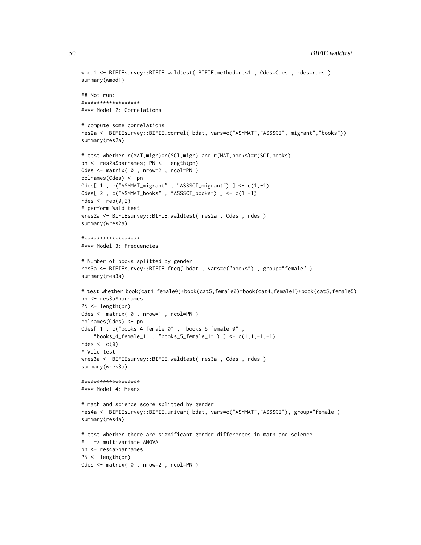```
wmod1 <- BIFIEsurvey::BIFIE.waldtest( BIFIE.method=res1, Cdes=Cdes, rdes=rdes)
summary(wmod1)
## Not run:
#******************
#*** Model 2: Correlations
# compute some correlations
res2a <- BIFIEsurvey::BIFIE.correl( bdat, vars=c("ASMMAT","ASSSCI","migrant","books"))
summary(res2a)
# test whether r(MAT,migr)=r(SCI,migr) and r(MAT,books)=r(SCI,books)
pn <- res2a$parnames; PN <- length(pn)
Cdes <- matrix( 0, nrow=2, ncol=PN)
colnames(Cdes) <- pn
Cdes[ 1 , c("ASMMAT_migrant" , "ASSSCI_migrant") ] <- c(1,-1)
Cdes[ 2 , c("ASMMAT_books" , "ASSSCI_books") ] <- c(1,-1)
rdes \leftarrow \text{rep}(0,2)# perform Wald test
wres2a <- BIFIEsurvey::BIFIE.waldtest( res2a , Cdes , rdes )
summary(wres2a)
#******************
#*** Model 3: Frequencies
# Number of books splitted by gender
res3a <- BIFIEsurvey::BIFIE.freq( bdat , vars=c("books") , group="female" )
summary(res3a)
# test whether book(cat4,female0)+book(cat5,female0)=book(cat4,female1)+book(cat5,female5)
pn <- res3a$parnames
PN <- length(pn)
Cdes <- matrix( 0, nrow=1, ncol=PN)
colnames(Cdes) <- pn
Cdes[ 1 , c("books_4_female_0" , "books_5_female_0" ,
    "books_4_female_1" , "books_5_female_1" ) ] \leftarrow c(1,1,-1,-1)rdes <-c(0)# Wald test
wres3a <- BIFIEsurvey::BIFIE.waldtest( res3a , Cdes , rdes )
summary(wres3a)
#******************
#*** Model 4: Means
# math and science score splitted by gender
res4a <- BIFIEsurvey::BIFIE.univar( bdat, vars=c("ASMMAT","ASSSCI"), group="female")
summary(res4a)
# test whether there are significant gender differences in math and science
# => multivariate ANOVA
pn <- res4a$parnames
PN <- length(pn)
Cdes <- matrix( 0, nrow=2, ncol=PN )
```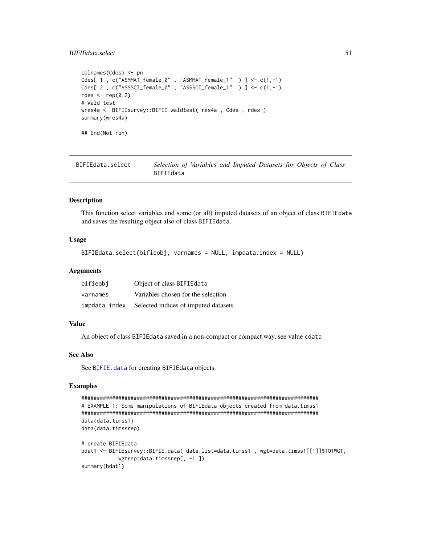# <span id="page-50-0"></span>**BIFIEdata.select**

```
colnames(Cdes) <- pn
Cdes[ 1 , c("ASMMAT_female_0" , "ASMMAT_female_1" ) ] <- c(1,-1)Cdes[ 2 , c("ASSCI_female_0" , "ASSSCI_female_1" ) ] <- c(1,-1)rdes <- rep(0,2)# Wald test
wres4a <- BIFIEsurvey::BIFIE.waldtest( res4a, Cdes, rdes)
summary(wres4a)
```
## End(Not run)

BIFIEdata.select Selection of Variables and Imputed Datasets for Objects of Class **BIFIEdata** 

# **Description**

This function select variables and some (or all) imputed datasets of an object of class BIFIEdata and saves the resulting object also of class BIFIEdata.

#### **Usage**

BIFIEdata.select(bifieobj, varnames = NULL, impdata.index = NULL)

#### **Arguments**

| bifieobj      | Object of class BIFIEdata            |
|---------------|--------------------------------------|
| varnames      | Variables chosen for the selection   |
| impdata.index | Selected indices of imputed datasets |

#### **Value**

An object of class BIFIEdata saved in a non-compact or compact way, see value cdata

# **See Also**

See BIFIE. data for creating BIFIEdata objects.

```
# EXAMPLE 1: Some manipulations of BIFIEdata objects created from data.timss1
data(data.timss1)
data(data.timssrep)
# create BIFIEdata
bdat1 <- BIFIEsurvey::BIFIE.data( data.list=data.timss1, wgt=data.timss1[[1]]$TOTWGT,
       wgtrep=data.timssrep[, -1 ])
summary(bdat1)
```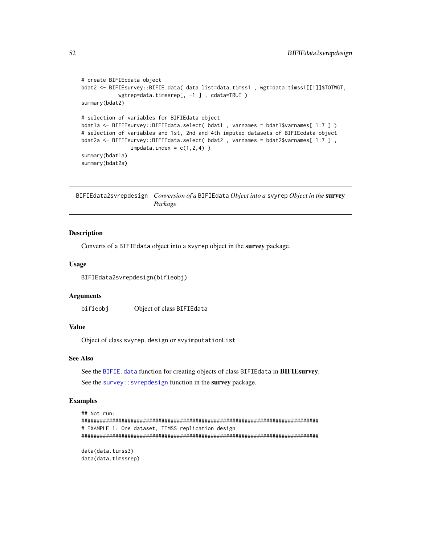```
# create BIFIEcdata object
bdat2 <- BIFIEsurvey::BIFIE.data( data.list=data.timss1 , wgt=data.timss1[[1]]$TOTWGT,
            wgtrep=data.timssrep[, -1 ], cdata=TRUE )
summary(bdat2)
# selection of variables for BIFIEdata object
bdat1a <- BIFIEsurvey::BIFIEdata.select( bdat1 , varnames = bdat1$varnames[ 1:7 ] )
# selection of variables and 1st, 2nd and 4th imputed datasets of BIFIEcdata object
bdat2a <- BIFIEsurvey::BIFIEdata.select( bdat2 , varnames = bdat2$varnames[ 1:7 ],
                impdata.index = c(1,2,4))
summary(bdat1a)
summary(bdat2a)
```
<span id="page-51-1"></span>BIFIEdata2svrepdesign *Conversion of a* BIFIEdata *Object into a* svyrep *Object in the* survey *Package*

#### Description

Converts of a BIFIEdata object into a svyrep object in the survey package.

# Usage

BIFIEdata2svrepdesign(bifieobj)

#### Arguments

bifieobj Object of class BIFIEdata

#### Value

Object of class svyrep.design or svyimputationList

# See Also

See the [BIFIE.data](#page-11-1) function for creating objects of class BIFIEdata in BIFIEsurvey. See the survey:: svrepdesign function in the survey package.

```
## Not run:
#############################################################################
# EXAMPLE 1: One dataset, TIMSS replication design
#############################################################################
data(data.timss3)
data(data.timssrep)
```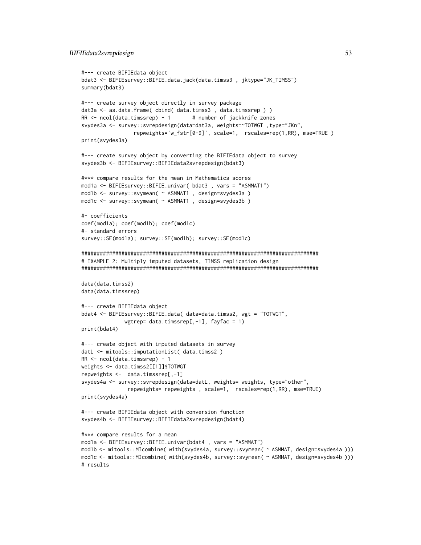```
#--- create BIFIEdata object
bdat3 <- BIFIEsurvey::BIFIE.data.jack(data.timss3 , jktype="JK_TIMSS")
summary(bdat3)
#--- create survey object directly in survey package
dat3a <- as.data.frame( cbind( data.timss3, data.timssrep ) )
RR \le ncol(data.timssrep) - 1 # number of jackknife zones
svydes3a <- survey::svrepdesign(data=dat3a, weights=~TOTWGT ,type="JKn",
                 repweights='w_fstr[0-9]', scale=1, rscales=rep(1,RR), mse=TRUE )
print(svydes3a)
#--- create survey object by converting the BIFIEdata object to survey
svydes3b <- BIFIEsurvey::BIFIEdata2svrepdesign(bdat3)
#*** compare results for the mean in Mathematics scores
mod1a <- BIFIEsurvey::BIFIE.univar( bdat3 , vars = "ASMMAT1")
mod1b <- survey::svymean( ~ ASMMAT1 , design=svydes3a )
mod1c <- survey::svymean( ~ ASMMAT1 , design=svydes3b )
#- coefficients
coef(mod1a); coef(mod1b); coef(mod1c)
#- standard errors
survey::SE(mod1a); survey::SE(mod1b); survey::SE(mod1c)
#############################################################################
# EXAMPLE 2: Multiply imputed datasets, TIMSS replication design
#############################################################################
data(data.timss2)
data(data.timssrep)
#--- create BIFIEdata object
bdat4 <- BIFIEsurvey::BIFIE.data( data=data.timss2, wgt = "TOTWGT",
              wgtrep= data.timssrep[-1], fayfac = 1)
print(bdat4)
#--- create object with imputed datasets in survey
datL <- mitools::imputationList( data.timss2 )
RR <- ncol(data.timssrep) - 1
weights <- data.timss2[[1]]$TOTWGT
repweights <- data.timssrep[,-1]
svydes4a <- survey::svrepdesign(data=datL, weights= weights, type="other",
               repweights= repweights , scale=1, rscales=rep(1,RR), mse=TRUE)
print(svydes4a)
#--- create BIFIEdata object with conversion function
svydes4b <- BIFIEsurvey::BIFIEdata2svrepdesign(bdat4)
#*** compare results for a mean
mod1a <- BIFIEsurvey::BIFIE.univar(bdat4 , vars = "ASMMAT")
mod1b <- mitools::MIcombine( with(svydes4a, survey::svymean( ~ ASMMAT, design=svydes4a )))
mod1c <- mitools::MIcombine( with(svydes4b, survey::svymean( ~ ASMMAT, design=svydes4b )))
# results
```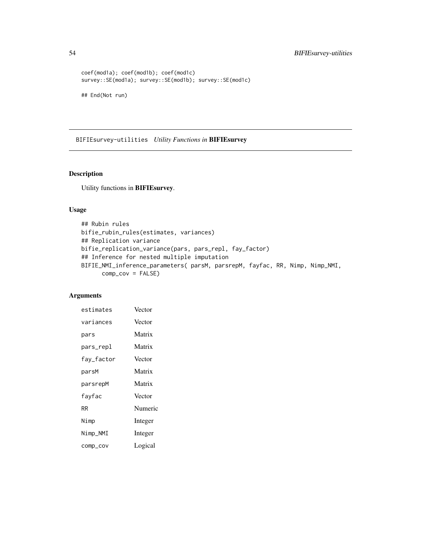```
coef(mod1a); coef(mod1b); coef(mod1c)
survey::SE(mod1a); survey::SE(mod1b); survey::SE(mod1c)
## End(Not run)
```
BIFIEsurvey-utilities *Utility Functions in* BIFIEsurvey

# Description

Utility functions in BIFIEsurvey.

# Usage

```
## Rubin rules
bifie_rubin_rules(estimates, variances)
## Replication variance
bifie_replication_variance(pars, pars_repl, fay_factor)
## Inference for nested multiple imputation
BIFIE_NMI_inference_parameters( parsM, parsrepM, fayfac, RR, Nimp, Nimp_NMI,
      comp\_cov = FALSE)
```
# Arguments

| estimates  | Vector  |
|------------|---------|
| variances  | Vector  |
| pars       | Matrix  |
| pars_repl  | Matrix  |
| fay_factor | Vector  |
| parsM      | Matrix  |
| parsrepM   | Matrix  |
| fayfac     | Vector  |
| <b>RR</b>  | Numeric |
| Nimp       | Integer |
| Nimp_NMI   | Integer |
| COMP_COV   | Logical |

<span id="page-53-0"></span>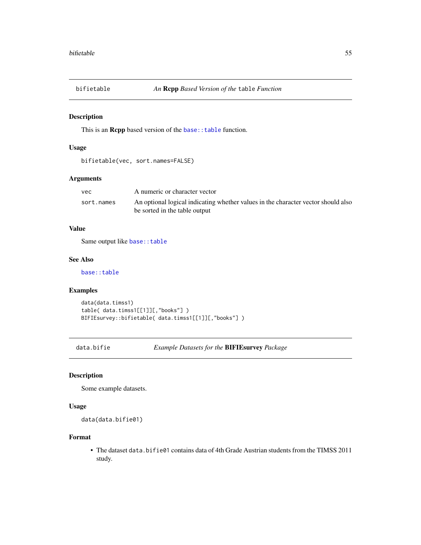<span id="page-54-0"></span>

# Description

This is an **Rcpp** based version of the base: : table function.

# Usage

bifietable(vec, sort.names=FALSE)

# Arguments

| vec        | A numeric or character vector                                                     |
|------------|-----------------------------------------------------------------------------------|
| sort.names | An optional logical indicating whether values in the character vector should also |
|            | be sorted in the table output                                                     |

# Value

Same output like base:: table

# See Also

[base::table](#page-0-0)

# Examples

```
data(data.timss1)
table( data.timss1[[1]][,"books"] )
BIFIEsurvey::bifietable( data.timss1[[1]][,"books"] )
```
data.bifie *Example Datasets for the* BIFIEsurvey *Package*

# Description

Some example datasets.

#### Usage

```
data(data.bifie01)
```
# Format

• The dataset data.bifie01 contains data of 4th Grade Austrian students from the TIMSS 2011 study.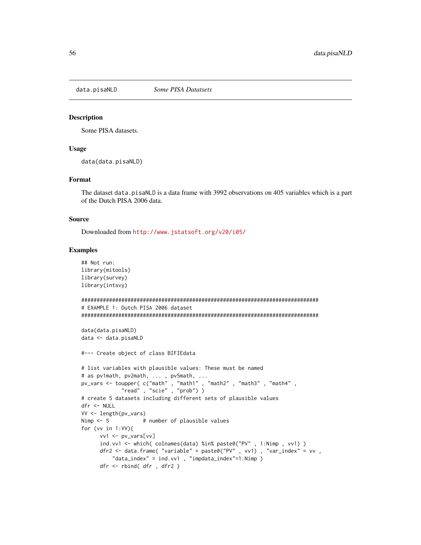<span id="page-55-0"></span>data.pisaNLD

#### **Description**

Some PISA datasets.

#### **Usage**

data(data.pisaNLD)

#### Format

The dataset data.pisaNLD is a data frame with 3992 observations on 405 variables which is a part of the Dutch PISA 2006 data.

#### **Source**

Downloaded from http://www.jstatsoft.org/v20/i05/

```
## Not run:
library(mitools)
library(survey)
library(intsvy)
# EXAMPLE 1: Dutch PISA 2006 dataset
data(data.pisaNLD)
data <- data.pisaNLD
#--- Create object of class BIFIEdata
# list variables with plausible values: These must be named
# as pv1math, pv2math, ..., pv5math, ...
# create 5 datasets including different sets of plausible values
dfr <- NULL
VV <- length(pv_vars)
Nimp < -5# number of plausible values
for (vv in 1:VV)\{vv1 \leftarrow pv_vars[vv]ind.vv1 <- which( colnames(data) %in% paste0("PV", 1:Nimp, vv1) )
    dfr2 <- data.frame( "variable" = paste0("PV" , vv1) , "var_index" = vv ,
       "data_index" = ind.vv1, "impdata_index"=1:Nimp)
    dfr \leftarrow rbind( dfr, dfr2)
```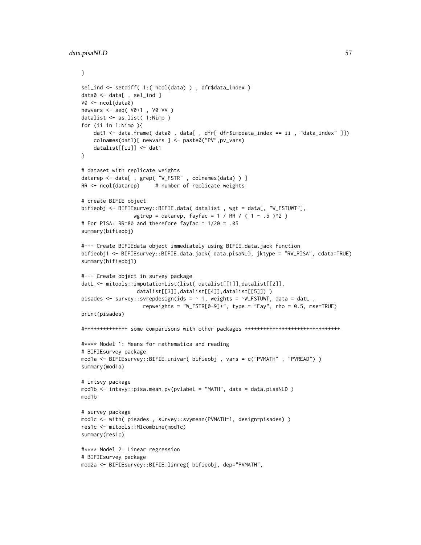```
}
sel_ind <- setdiff( 1:( ncol(data) ) , dfr$data_index )
data0 <- data[ , sel_ind ]
V0 <- ncol(data0)
newvars <- seq( V0+1 , V0+VV )
datalist <- as.list( 1:Nimp )
for (ii in 1:Nimp ){
    dat1 <- data.frame( data0 , data[ , dfr[ dfr$impdata_index == ii , "data_index" ]])
    colnames(dat1)[ newvars ] <- paste0("PV",pv_vars)
    datalist[[ii]] <- dat1
}
# dataset with replicate weights
datarep <- data[ , grep( "W_FSTR" , colnames(data) ) ]
RR < - ncol(datarep) # number of replicate weights
# create BIFIE object
bifieobj <- BIFIEsurvey::BIFIE.data( datalist , wgt = data[, "W_FSTUWT"],
                 wgtrep = datarep, fayfac = 1 / RR / (1 - .5 )^2)
# For PISA: RR=80 and therefore fayfac = 1/20 = .05
summary(bifieobj)
#--- Create BIFIEdata object immediately using BIFIE.data.jack function
bifieobj1 <- BIFIEsurvey::BIFIE.data.jack( data.pisaNLD, jktype = "RW_PISA", cdata=TRUE)
summary(bifieobj1)
#--- Create object in survey package
datL <- mitools::imputationList(list( datalist[[1]],datalist[[2]],
                  datalist[[3]],datalist[[4]],datalist[[5]]) )
pisades \leq survey::svrepdesign(ids = \sim 1, weights = \simW_FSTUWT, data = datL,
                    repweights = "W_FSTR[0-9]+", type = "Fay", rho = 0.5, mse=TRUE)
print(pisades)
#++++++++++++++ some comparisons with other packages +++++++++++++++++++++++++++++++
#**** Model 1: Means for mathematics and reading
# BIFIEsurvey package
mod1a <- BIFIEsurvey::BIFIE.univar( bifieobj , vars = c("PVMATH" , "PVREAD") )
summary(mod1a)
# intsvy package
mod1b <- intsvy::pisa.mean.pv(pvlabel = "MATH", data = data.pisaNLD )
mod1b
# survey package
mod1c <- with( pisades , survey::svymean(PVMATH~1, design=pisades) )
res1c <- mitools::MIcombine(mod1c)
summary(res1c)
#**** Model 2: Linear regression
# BIFIEsurvey package
mod2a <- BIFIEsurvey::BIFIE.linreg( bifieobj, dep="PVMATH",
```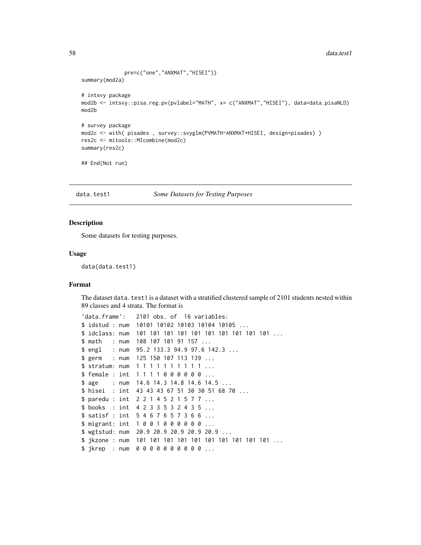```
pre=c("one","ANXMAT","HISEI"))
summary(mod2a)
# intsvy package
mod2b <- intsvy::pisa.reg.pv(pvlabel="MATH", x= c("ANXMAT","HISEI"), data=data.pisaNLD)
mod2b
# survey package
mod2c <- with( pisades , survey::svyglm(PVMATH~ANXMAT+HISEI, design=pisades) )
res2c <- mitools::MIcombine(mod2c)
summary(res2c)
## End(Not run)
```
data.test1 Some Datasets for Testing Purposes

# **Description**

Some datasets for testing purposes.

# **Usage**

data(data.test1)

#### Format

The dataset data. test1 is a dataset with a stratified clustered sample of 2101 students nested within 89 classes and 4 strata. The format is

```
'data.frame':
           2101 obs. of 16 variables:
$ idstud : num 10101 10102 10103 10104 10105 ...
$ math : num 108 107 101 91 157 ...
$ eng1 : num 95.2 133.3 94.9 97.6 142.3 ...$ germ : num 125 150 107 113 139 ...
$ stratum: num 1111111111...
$ female : int 1111000000 ...
     : num 14.6 14.3 14.8 14.6 14.5 ...
$ age
$ hisei : int 43 43 43 67 51 30 30 51 68 70 ...
$ paredu: int 2214521577...
$ books : int 4233532435...
$ satisf : int 5467657366 ...
$ migrant: int 1001000000 ...
$ wgtstud: num 20.9 20.9 20.9 20.9 20.9 ...
$ jkrep : num 0000000000...
```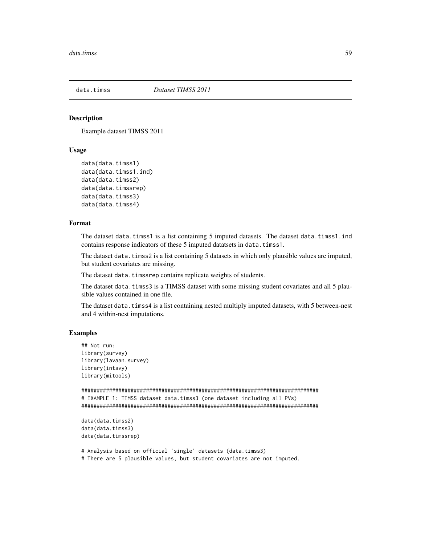<span id="page-58-0"></span>

#### Description

Example dataset TIMSS 2011

#### Usage

```
data(data.timss1)
data(data.timss1.ind)
data(data.timss2)
data(data.timssrep)
data(data.timss3)
data(data.timss4)
```
# Format

The dataset data.timss1 is a list containing 5 imputed datasets. The dataset data.timss1.ind contains response indicators of these 5 imputed datatsets in data.timss1.

The dataset data. timss2 is a list containing 5 datasets in which only plausible values are imputed, but student covariates are missing.

The dataset data.timssrep contains replicate weights of students.

The dataset data.timss3 is a TIMSS dataset with some missing student covariates and all 5 plausible values contained in one file.

The dataset data.timss4 is a list containing nested multiply imputed datasets, with 5 between-nest and 4 within-nest imputations.

# Examples

```
## Not run:
library(survey)
library(lavaan.survey)
library(intsvy)
library(mitools)
#############################################################################
```

```
# EXAMPLE 1: TIMSS dataset data.timss3 (one dataset including all PVs)
#############################################################################
```

```
data(data.timss2)
data(data.timss3)
data(data.timssrep)
```
# Analysis based on official 'single' datasets (data.timss3) # There are 5 plausible values, but student covariates are not imputed.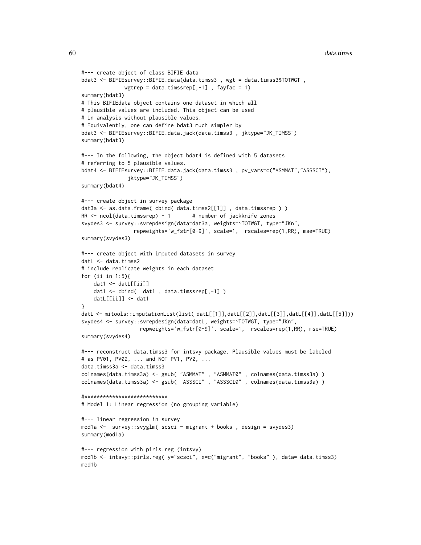```
#--- create object of class BIFIE data
bdat3 <- BIFIEsurvey::BIFIE.data(data.timss3 , wgt = data.timss3$TOTWGT ,
             wgtrep = data.timssrep[-1], fayfac = 1)
summary(bdat3)
# This BIFIEdata object contains one dataset in which all
# plausible values are included. This object can be used
# in analysis without plausible values.
# Equivalently, one can define bdat3 much simpler by
bdat3 <- BIFIEsurvey::BIFIE.data.jack(data.timss3 , jktype="JK_TIMSS")
summary(bdat3)
#--- In the following, the object bdat4 is defined with 5 datasets
# referring to 5 plausible values.
bdat4 <- BIFIEsurvey::BIFIE.data.jack(data.timss3 , pv_vars=c("ASMMAT","ASSSCI"),
               jktype="JK_TIMSS")
summary(bdat4)
#--- create object in survey package
dat3a <- as.data.frame( cbind( data.timss2[[1]], data.timssrep ) )
RR \le ncol(data.timssrep) - 1 # number of jackknife zones
svydes3 <- survey::svrepdesign(data=dat3a, weights=~TOTWGT, type="JKn",
                 repweights='w_fstr[0-9]', scale=1, rscales=rep(1,RR), mse=TRUE)
summary(svydes3)
#--- create object with imputed datasets in survey
datL <- data.timss2
# include replicate weights in each dataset
for (ii in 1:5){
    dat1 <- datL[[ii]]
    dat1 <- cbind( dat1 , data.timssrep[,-1] )
    datL[[iii]] < - dat1}
datL <- mitools::imputationList(list( datL[[1]],datL[[2]],datL[[3]],datL[[4]],datL[[5]]))
svydes4 <- survey::svrepdesign(data=datL, weights=~TOTWGT, type="JKn",
                   repweights='w_fstr[0-9]', scale=1, rscales=rep(1,RR), mse=TRUE)
summary(svydes4)
#--- reconstruct data.timss3 for intsvy package. Plausible values must be labeled
# as PV01, PV02, ... and NOT PV1, PV2, ...
data.timss3a <- data.timss3
colnames(data.timss3a) <- gsub( "ASMMAT" , "ASMMAT0" , colnames(data.timss3a) )
colnames(data.timss3a) <- gsub( "ASSSCI" , "ASSSCI0" , colnames(data.timss3a) )
#***************************
# Model 1: Linear regression (no grouping variable)
#--- linear regression in survey
mod1a <- survey::svyglm( scsci ~ migrant + books , design = svydes3)
summary(mod1a)
#--- regression with pirls.reg (intsvy)
mod1b <- intsvy::pirls.reg( y="scsci", x=c("migrant", "books" ), data= data.timss3)
mod1b
```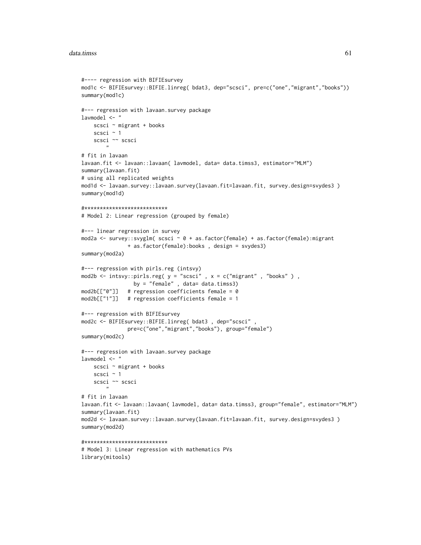```
#---- regression with BIFIEsurvey
mod1c <- BIFIEsurvey::BIFIE.linreg( bdat3, dep="scsci", pre=c("one","migrant","books"))
summary(mod1c)
#--- regression with lavaan.survey package
lavmodel <- "
   scsci ~ migrant + books
   scsci ~ 1
   scsci ~~ scsci
        ^{\prime\prime}# fit in lavaan
lavaan.fit <- lavaan::lavaan( lavmodel, data= data.timss3, estimator="MLM")
summary(lavaan.fit)
# using all replicated weights
mod1d <- lavaan.survey::lavaan.survey(lavaan.fit=lavaan.fit, survey.design=svydes3 )
summary(mod1d)
#***************************
# Model 2: Linear regression (grouped by female)
#--- linear regression in survey
mod2a <- survey::svyglm( scsci ~ 0 + as.factor(female) + as.factor(female):migrant
               + as.factor(female):books , design = svydes3)
summary(mod2a)
#--- regression with pirls.reg (intsvy)
mod2b <- intsvy::pirls.reg( y = "scsci", x = c("migrant", "books" ),
                by = "female" , data= data.timss3)
mod2b[["0"]] # regression coefficients female = 0
mod2b[["1"]] # regression coefficients female = 1
#--- regression with BIFIEsurvey
mod2c <- BIFIEsurvey::BIFIE.linreg( bdat3 , dep="scsci" ,
               pre=c("one","migrant","books"), group="female")
summary(mod2c)
#--- regression with lavaan.survey package
lavmodel <- "
    scsci ~ migrant + books
    scsci ~ 1
    scsci ~~ scsci
        "
# fit in lavaan
lavaan.fit <- lavaan::lavaan( lavmodel, data= data.timss3, group="female", estimator="MLM")
summary(lavaan.fit)
mod2d <- lavaan.survey::lavaan.survey(lavaan.fit=lavaan.fit, survey.design=svydes3 )
summary(mod2d)
#***************************
# Model 3: Linear regression with mathematics PVs
```

```
library(mitools)
```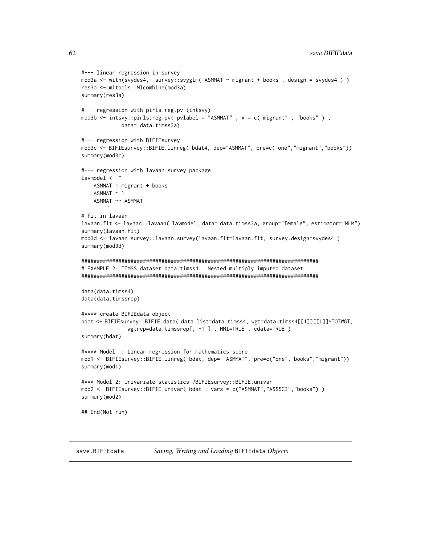```
#--- linear regression in survey
mod3a <- with(svydes4, survey::svyglm( ASMMAT ~ migrant + books , design = svydes4 ) )
res3a <- mitools::MIcombine(mod3a)
summary(res3a)
#--- regression with pirls.reg.pv (intsvy)
mod3b <- intsvy::pirls.reg.pv( pvlabel = "ASMMAT" , x = c("migrant" , "books" ) ,
             data= data.timss3a)
#--- regression with BIFIEsurvey
mod3c <- BIFIEsurvey::BIFIE.linreg( bdat4, dep="ASMMAT", pre=c("one","migrant","books"))
summary(mod3c)
#--- regression with lavaan.survey package
lavmodel <- "
   ASMMAT ~ migrant + books
   ASMMAT \sim 1ASMMAT ~~ ASMMAT
        "
# fit in lavaan
lavaan.fit <- lavaan::lavaan( lavmodel, data= data.timss3a, group="female", estimator="MLM")
summary(lavaan.fit)
mod3d <- lavaan.survey::lavaan.survey(lavaan.fit=lavaan.fit, survey.design=svydes4 )
summary(mod3d)
#############################################################################
# EXAMPLE 2: TIMSS dataset data.timss4 | Nested multiply imputed dataset
#############################################################################
data(data.timss4)
data(data.timssrep)
#**** create BIFIEdata object
bdat <- BIFIEsurvey::BIFIE.data( data.list=data.timss4, wgt=data.timss4[[1]][[1]]$TOTWGT,
               wgtrep=data.timssrep[, -1 ] , NMI=TRUE , cdata=TRUE )
summary(bdat)
#**** Model 1: Linear regression for mathematics score
mod1 <- BIFIEsurvey::BIFIE.linreg( bdat, dep= "ASMMAT", pre=c("one","books","migrant"))
summary(mod1)
#*** Model 2: Univariate statistics ?BIFIEsurvey::BIFIE.univar
mod2 <- BIFIEsurvey::BIFIE.univar( bdat , vars = c("ASMMAT","ASSSCI","books") )
summary(mod2)
## End(Not run)
```
<span id="page-61-1"></span>save.BIFIEdata *Saving, Writing and Loading* BIFIEdata *Objects*

<span id="page-61-0"></span>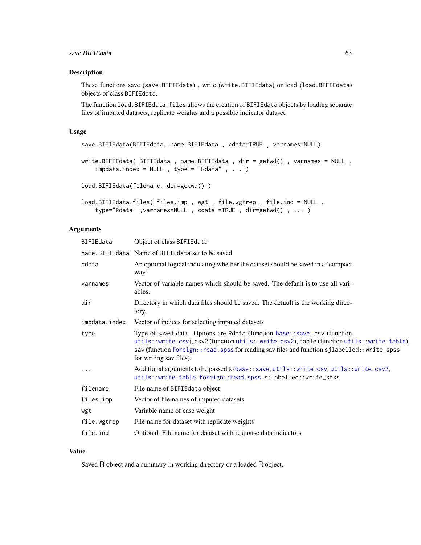# <span id="page-62-0"></span>Description

These functions save (save.BIFIEdata) , write (write.BIFIEdata) or load (load.BIFIEdata) objects of class BIFIEdata.

The function load.BIFIEdata.files allows the creation of BIFIEdata objects by loading separate files of imputed datasets, replicate weights and a possible indicator dataset.

#### Usage

```
save.BIFIEdata(BIFIEdata, name.BIFIEdata , cdata=TRUE , varnames=NULL)
write.BIFIEdata( BIFIEdata , name.BIFIEdata , dir = getwd() , varnames = NULL ,
    impdata.index = NULL , type = "Rdata" , ... )load.BIFIEdata(filename, dir=getwd() )
load.BIFIEdata.files( files.imp , wgt , file.wgtrep , file.ind = NULL ,
    type="Rdata" ,varnames=NULL , cdata =TRUE , dir=getwd() , ... )
```
#### Arguments

| BIFIEdata     | Object of class BIFIEdata                                                                                                                                                                                                                                                                        |
|---------------|--------------------------------------------------------------------------------------------------------------------------------------------------------------------------------------------------------------------------------------------------------------------------------------------------|
|               | name. BIFIEdata Name of BIFIEdata set to be saved                                                                                                                                                                                                                                                |
| cdata         | An optional logical indicating whether the dataset should be saved in a 'compact<br>way'                                                                                                                                                                                                         |
| varnames      | Vector of variable names which should be saved. The default is to use all vari-<br>ables.                                                                                                                                                                                                        |
| dir           | Directory in which data files should be saved. The default is the working direc-<br>tory.                                                                                                                                                                                                        |
| impdata.index | Vector of indices for selecting imputed datasets                                                                                                                                                                                                                                                 |
| type          | Type of saved data. Options are Rdata (function base::save, csv (function<br>utils::write.csv), csv2 (function utils::write.csv2), table (function utils::write.table),<br>sav (function foreign::read.spss for reading sav files and function sjlabelled::write_spss<br>for writing say files). |
| $\cdots$      | Additional arguments to be passed to base::save, utils::write.csv, utils::write.csv2,<br>utils::write.table, foreign::read.spss, sjlabelled::write_spss                                                                                                                                          |
| filename      | File name of BIFIEdata object                                                                                                                                                                                                                                                                    |
| files.imp     | Vector of file names of imputed datasets                                                                                                                                                                                                                                                         |
| wgt           | Variable name of case weight                                                                                                                                                                                                                                                                     |
| file.wgtrep   | File name for dataset with replicate weights                                                                                                                                                                                                                                                     |
| file.ind      | Optional. File name for dataset with response data indicators                                                                                                                                                                                                                                    |

# Value

Saved R object and a summary in working directory or a loaded R object.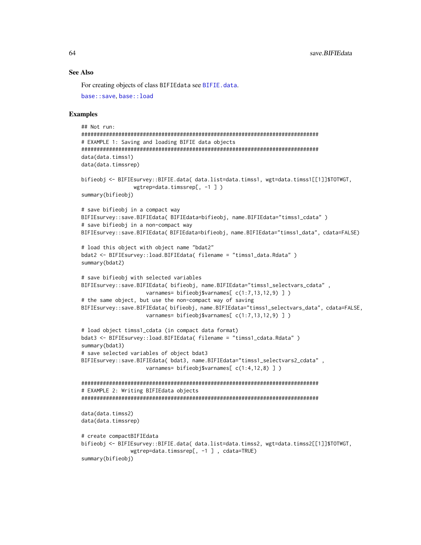#### **See Also**

For creating objects of class BIFIEdata see BIFIE.data.

base::save.base::load

#### **Examples**

```
## Not run:
# EXAMPLE 1: Saving and loading BIFIE data objects
data(data.timss1)
data(data.timssrep)
bifieobj <- BIFIEsurvey::BIFIE.data( data.list=data.timss1, wgt=data.timss1[[1]]$TOTWGT,
              wgtrep=data.timssrep[, -1])
summary(bifieobj)
# save bifieobj in a compact way
BIFIEsurvey::save.BIFIEdata( BIFIEdata=bifieobj, name.BIFIEdata="timss1_cdata" )
# save bifieobj in a non-compact way
BIFIEsurvey::save.BIFIEdata(BIFIEdata=bifieobj, name.BIFIEdata="timss1_data", cdata=FALSE)
# load this object with object name "bdat2"
bdat2 <- BIFIEsurvey::load.BIFIEdata( filename = "timss1_data.Rdata")
summary(bdat2)
# save bifieobj with selected variables
BIFIEsurvey::save.BIFIEdata( bifieobj, name.BIFIEdata="timss1_selectvars_cdata",
                 varnames= bifieobj$varnames[c(1:7, 13, 12, 9)])
# the same object, but use the non-compact way of saving
BIFIEsurvey::save.BIFIEdata( bifieobj, name.BIFIEdata="timss1_selectvars_data", cdata=FALSE,
                 varnames= bifieobj$varnames[c(1:7, 13, 12, 9)])
# load object timss1_cdata (in compact data format)
bdat3 <- BIFIEsurvey:: load. BIFIEdata( filename = "timss1_cdata. Rdata")
summary(bdat3)
# save selected variables of object bdat3
BIFIEsurvey::save.BIFIEdata( bdat3, name.BIFIEdata="timss1_selectvars2_cdata",
                 varnames= bifieobj$varnames[c(1:4, 12, 8)])
# EXAMPLE 2: Writing BIFIEdata objects
data(data.timss2)
data(data.timssrep)
# create compactBIFIEdata
bifieobj <- BIFIEsurvey::BIFIE.data( data.list=data.timss2, wgt=data.timss2[[1]]$TOTWGT,
             wgtrep=data.timssrep[, -1 ], cdata=TRUE)
summary(bifieobj)
```
<span id="page-63-0"></span>64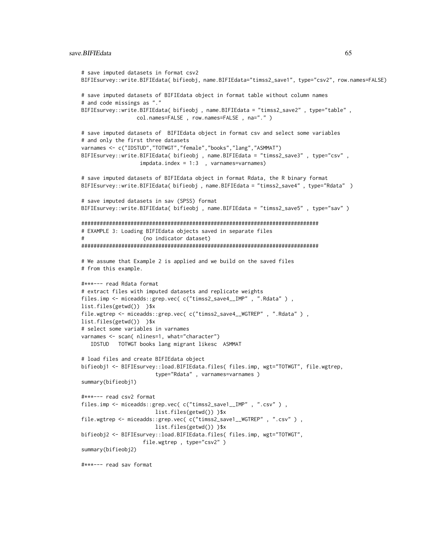```
# save imputed datasets in format csv2
BIFIEsurvey::write.BIFIEdata( bifieobj, name.BIFIEdata="timss2_save1", type="csv2", row.names=FALSE)
# save imputed datasets of BIFIEdata object in format table without column names
# and code missings as "."
BIFIEsurvey::write.BIFIEdata( bifieobj , name.BIFIEdata = "timss2_save2" , type="table" ,
                  col.names=FALSE , row.names=FALSE , na="." )
# save imputed datasets of BIFIEdata object in format csv and select some variables
# and only the first three datasets
varnames <- c("IDSTUD","TOTWGT","female","books","lang","ASMMAT")
BIFIEsurvey::write.BIFIEdata( bifieobj , name.BIFIEdata = "timss2_save3" , type="csv" ,
                   impdata.index = 1:3 , varnames=varnames)
# save imputed datasets of BIFIEdata object in format Rdata, the R binary format
BIFIEsurvey::write.BIFIEdata( bifieobj , name.BIFIEdata = "timss2_save4" , type="Rdata" )
# save imputed datasets in sav (SPSS) format
BIFIEsurvey::write.BIFIEdata( bifieobj , name.BIFIEdata = "timss2_save5" , type="sav" )
#############################################################################
# EXAMPLE 3: Loading BIFIEdata objects saved in separate files
# (no indicator dataset)
#############################################################################
# We assume that Example 2 is applied and we build on the saved files
# from this example.
#***--- read Rdata format
# extract files with imputed datasets and replicate weights
files.imp <- miceadds::grep.vec( c("timss2_save4__IMP" , ".Rdata" ) ,
list.files(getwd()) )$x
file.wgtrep <- miceadds::grep.vec( c("timss2_save4__WGTREP" , ".Rdata" ) ,
list.files(getwd()) )$x
# select some variables in varnames
varnames <- scan( nlines=1, what="character")
   IDSTUD TOTWGT books lang migrant likesc ASMMAT
# load files and create BIFIEdata object
bifieobj1 <- BIFIEsurvey::load.BIFIEdata.files( files.imp, wgt="TOTWGT", file.wgtrep,
                       type="Rdata" , varnames=varnames )
summary(bifieobj1)
#***--- read csv2 format
files.imp <- miceadds::grep.vec( c("timss2_save1__IMP" , ".csv" ) ,
                       list.files(getwd()) )$x
file.wgtrep <- miceadds::grep.vec( c("timss2_save1__WGTREP" , ".csv" ) ,
                       list.files(getwd()) )$x
bifieobj2 <- BIFIEsurvey::load.BIFIEdata.files( files.imp, wgt="TOTWGT",
                    file.wgtrep , type="csv2" )
summary(bifieobj2)
#***--- read sav format
```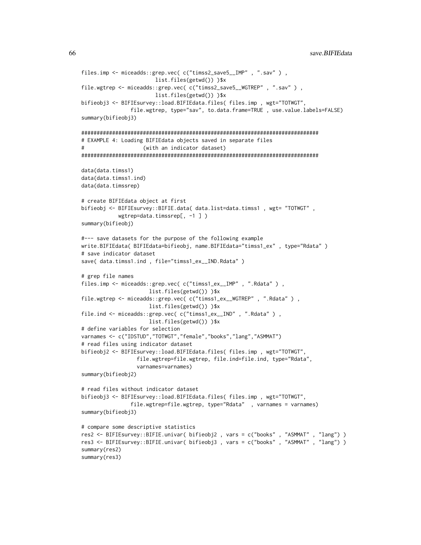```
files.imp <- miceadds::grep.vec( c("timss2_save5__IMP", ".sav"),
                     list.files(getwd()) )$x
file.wgtrep <- miceadds::grep.vec( c("timss2_save5__WGTREP", ".sav" ),
                     list.files(getwd()) )$x
bifieobj3 <- BIFIEsurvey::load.BIFIEdata.files( files.imp, wgt="TOTWGT",
              file.wgtrep, type="sav", to.data.frame=TRUE, use.value.labels=FALSE)
summary(bifieobj3)
# EXAMPLE 4: Loading BIFIEdata objects saved in separate files
                  (with an indicator dataset)
#
data(data.timss1)
data(data.timss1.ind)
data(data.timssrep)
# create BIFIEdata object at first
bifieobj <- BIFIEsurvey::BIFIE.data( data.list=data.timss1, wgt= "TOTWGT",
          wgtrep=data.timssrep[, -1 ])
summary(bifieobj)
#--- save datasets for the purpose of the following example
write.BIFIEdata( BIFIEdata=bifieobj, name.BIFIEdata="timss1_ex", type="Rdata")
# save indicator dataset
save( data.timss1.ind, file="timss1_ex__IND.Rdata")
# grep file names
files.imp <- miceadds::grep.vec( c("timss1_ex__IMP" , ".Rdata" ) ,
                    list.files(getwd()) )$x
file.wgtrep <- miceadds::grep.vec( c("timss1_ex__WGTREP", ".Rdata"),
                   list.files(getwd()) )$x
file.ind <- miceadds::grep.vec( c("timss1_ex__IND", ".Rdata"),
                   list.files(getwd()) )$x
# define variables for selection
varnames <- c("IDSTUD","TOTWGT","female","books","lang","ASMMAT")
# read files using indicator dataset
bifieobj2 <- BIFIEsurvey::load.BIFIEdata.files( files.imp, wgt="TOTWGT",
                file.wgtrep=file.wgtrep, file.ind=file.ind, type="Rdata",
                varnames=varnames)
summary(bifieobj2)
# read files without indicator dataset
bifieobj3 <- BIFIEsurvey::load.BIFIEdata.files(files.imp, wgt="TOTWGT",
              file.wgtrep=file.wgtrep, type="Rdata", varnames = varnames)
summary(bifieobj3)
# compare some descriptive statistics
res2 <- BIFIEsurvey::BIFIE.univar( bifieobj2 , vars = c("books" , "ASMMAT" , "lang") )
res3 <- BIFIEsurvey::BIFIE.univar( bifieobj3, vars = c("books", "ASMMAT", "lang"))
summary(res2)
summary(res3)
```
66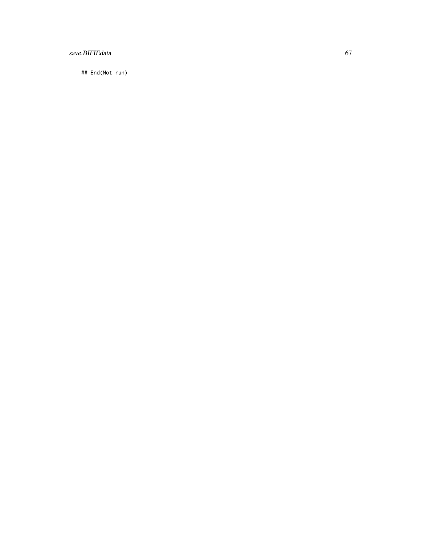# $\emph{save.BIFIE} data$

## End(Not run)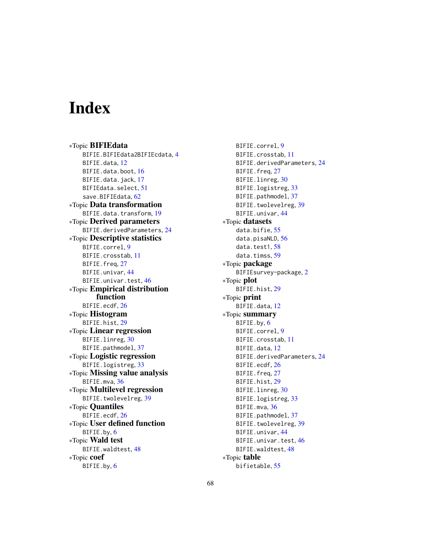# <span id="page-67-0"></span>Index

∗Topic BIFIEdata BIFIE.BIFIEdata2BIFIEcdata, [4](#page-3-0) BIFIE.data, [12](#page-11-0) BIFIE.data.boot, [16](#page-15-0) BIFIE.data.jack, [17](#page-16-0) BIFIEdata.select, [51](#page-50-0) save.BIFIEdata, [62](#page-61-0) ∗Topic Data transformation BIFIE.data.transform, [19](#page-18-0) ∗Topic Derived parameters BIFIE.derivedParameters, [24](#page-23-0) ∗Topic Descriptive statistics BIFIE.correl, [9](#page-8-0) BIFIE.crosstab, [11](#page-10-0) BIFIE.freq, [27](#page-26-0) BIFIE.univar, [44](#page-43-0) BIFIE.univar.test, [46](#page-45-0) ∗Topic Empirical distribution function BIFIE.ecdf, [26](#page-25-0) ∗Topic Histogram BIFIE.hist, [29](#page-28-0) ∗Topic Linear regression BIFIE.linreg, [30](#page-29-0) BIFIE.pathmodel, [37](#page-36-0) ∗Topic Logistic regression BIFIE.logistreg, [33](#page-32-0) ∗Topic Missing value analysis BIFIE.mva, [36](#page-35-0) ∗Topic Multilevel regression BIFIE.twolevelreg, [39](#page-38-0) ∗Topic Quantiles BIFIE.ecdf, [26](#page-25-0) ∗Topic User defined function BIFIE.by, [6](#page-5-0) ∗Topic Wald test BIFIE.waldtest, [48](#page-47-0) ∗Topic coef BIFIE.by, [6](#page-5-0)

BIFIE.correl, [9](#page-8-0) BIFIE.crosstab, [11](#page-10-0) BIFIE.derivedParameters, [24](#page-23-0) BIFIE.freq, [27](#page-26-0) BIFIE.linreg, [30](#page-29-0) BIFIE.logistreg, [33](#page-32-0) BIFIE.pathmodel, [37](#page-36-0) BIFIE.twolevelreg, [39](#page-38-0) BIFIE.univar, [44](#page-43-0) ∗Topic datasets data.bifie, [55](#page-54-0) data.pisaNLD, [56](#page-55-0) data.test1, [58](#page-57-0) data.timss, [59](#page-58-0) ∗Topic package BIFIEsurvey-package, [2](#page-1-0) ∗Topic plot BIFIE.hist, [29](#page-28-0) ∗Topic print BIFIE.data, [12](#page-11-0) ∗Topic summary BIFIE.by, [6](#page-5-0) BIFIE.correl, [9](#page-8-0) BIFIE.crosstab, [11](#page-10-0) BIFIE.data, [12](#page-11-0) BIFIE.derivedParameters, [24](#page-23-0) BIFIE.ecdf, [26](#page-25-0) BIFIE.freq, [27](#page-26-0) BIFIE.hist, [29](#page-28-0) BIFIE.linreg, [30](#page-29-0) BIFIE.logistreg, [33](#page-32-0) BIFIE.mva, [36](#page-35-0) BIFIE.pathmodel, [37](#page-36-0) BIFIE.twolevelreg, [39](#page-38-0) BIFIE.univar, [44](#page-43-0) BIFIE.univar.test, [46](#page-45-0) BIFIE.waldtest, [48](#page-47-0) ∗Topic table bifietable, [55](#page-54-0)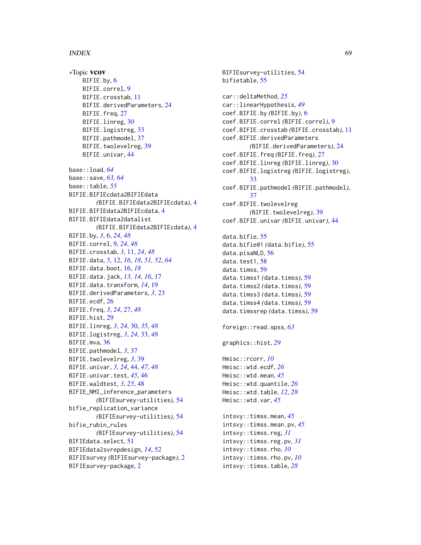#### INDEX  $\sim$  69

∗Topic vcov BIFIE.by, [6](#page-5-0) BIFIE.correl, [9](#page-8-0) BIFIE.crosstab, [11](#page-10-0) BIFIE.derivedParameters, [24](#page-23-0) BIFIE.freq, [27](#page-26-0) BIFIE.linreg, [30](#page-29-0) BIFIE.logistreg, [33](#page-32-0) BIFIE.pathmodel, [37](#page-36-0) BIFIE.twolevelreg, [39](#page-38-0) BIFIE.univar, [44](#page-43-0) base::load, *[64](#page-63-0)* base::save, *[63,](#page-62-0) [64](#page-63-0)* base::table, *[55](#page-54-0)* BIFIE.BIFIEcdata2BIFIEdata *(*BIFIE.BIFIEdata2BIFIEcdata*)*, [4](#page-3-0) BIFIE.BIFIEdata2BIFIEcdata, [4](#page-3-0) BIFIE.BIFIEdata2datalist *(*BIFIE.BIFIEdata2BIFIEcdata*)*, [4](#page-3-0) BIFIE.by, *[3](#page-2-0)*, [6,](#page-5-0) *[24](#page-23-0)*, *[48](#page-47-0)* BIFIE.correl, [9,](#page-8-0) *[24](#page-23-0)*, *[48](#page-47-0)* BIFIE.crosstab, *[3](#page-2-0)*, [11,](#page-10-0) *[24](#page-23-0)*, *[48](#page-47-0)* BIFIE.data, *[5](#page-4-0)*, [12,](#page-11-0) *[16](#page-15-0)*, *[18](#page-17-0)*, *[51,](#page-50-0) [52](#page-51-0)*, *[64](#page-63-0)* BIFIE.data.boot, [16,](#page-15-0) *[18](#page-17-0)* BIFIE.data.jack, *[13,](#page-12-0) [14](#page-13-0)*, *[16](#page-15-0)*, [17](#page-16-0) BIFIE.data.transform, *[14](#page-13-0)*, [19](#page-18-0) BIFIE.derivedParameters, *[3](#page-2-0)*, [23](#page-22-0) BIFIE.ecdf, [26](#page-25-0) BIFIE.freq, *[3](#page-2-0)*, *[24](#page-23-0)*, [27,](#page-26-0) *[48](#page-47-0)* BIFIE.hist, [29](#page-28-0) BIFIE.linreg, *[3](#page-2-0)*, *[24](#page-23-0)*, [30,](#page-29-0) *[35](#page-34-0)*, *[48](#page-47-0)* BIFIE.logistreg, *[3](#page-2-0)*, *[24](#page-23-0)*, [33,](#page-32-0) *[48](#page-47-0)* BIFIE.mva, [36](#page-35-0) BIFIE.pathmodel, *[3](#page-2-0)*, [37](#page-36-0) BIFIE.twolevelreg, *[3](#page-2-0)*, [39](#page-38-0) BIFIE.univar, *[3](#page-2-0)*, *[24](#page-23-0)*, [44,](#page-43-0) *[47,](#page-46-0) [48](#page-47-0)* BIFIE.univar.test, *[45](#page-44-0)*, [46](#page-45-0) BIFIE.waldtest, *[3](#page-2-0)*, *[25](#page-24-0)*, [48](#page-47-0) BIFIE\_NMI\_inference\_parameters *(*BIFIEsurvey-utilities*)*, [54](#page-53-0) bifie\_replication\_variance *(*BIFIEsurvey-utilities*)*, [54](#page-53-0) bifie\_rubin\_rules *(*BIFIEsurvey-utilities*)*, [54](#page-53-0) BIFIEdata.select, [51](#page-50-0) BIFIEdata2svrepdesign, *[14](#page-13-0)*, [52](#page-51-0) BIFIEsurvey *(*BIFIEsurvey-package*)*, [2](#page-1-0) BIFIEsurvey-package, [2](#page-1-0)

BIFIEsurvey-utilities, [54](#page-53-0) bifietable, [55](#page-54-0) car::deltaMethod, *[25](#page-24-0)* car::linearHypothesis, *[49](#page-48-0)* coef.BIFIE.by *(*BIFIE.by*)*, [6](#page-5-0) coef.BIFIE.correl *(*BIFIE.correl*)*, [9](#page-8-0) coef.BIFIE.crosstab *(*BIFIE.crosstab*)*, [11](#page-10-0) coef.BIFIE.derivedParameters *(*BIFIE.derivedParameters*)*, [24](#page-23-0) coef.BIFIE.freq *(*BIFIE.freq*)*, [27](#page-26-0) coef.BIFIE.linreg *(*BIFIE.linreg*)*, [30](#page-29-0) coef.BIFIE.logistreg *(*BIFIE.logistreg*)*, [33](#page-32-0) coef.BIFIE.pathmodel *(*BIFIE.pathmodel*)*, [37](#page-36-0) coef.BIFIE.twolevelreg *(*BIFIE.twolevelreg*)*, [39](#page-38-0) coef.BIFIE.univar *(*BIFIE.univar*)*, [44](#page-43-0) data.bifie, [55](#page-54-0) data.bifie01 *(*data.bifie*)*, [55](#page-54-0) data.pisaNLD, [56](#page-55-0) data.test1, [58](#page-57-0) data.timss, [59](#page-58-0) data.timss1 *(*data.timss*)*, [59](#page-58-0) data.timss2 *(*data.timss*)*, [59](#page-58-0) data.timss3 *(*data.timss*)*, [59](#page-58-0) data.timss4 *(*data.timss*)*, [59](#page-58-0) data.timssrep *(*data.timss*)*, [59](#page-58-0) foreign::read.spss, *[63](#page-62-0)* graphics::hist, *[29](#page-28-0)* Hmisc::rcorr, *[10](#page-9-0)* Hmisc::wtd.ecdf, *[26](#page-25-0)* Hmisc::wtd.mean, *[45](#page-44-0)* Hmisc::wtd.quantile, *[26](#page-25-0)* Hmisc::wtd.table, *[12](#page-11-0)*, *[28](#page-27-0)* Hmisc::wtd.var, *[45](#page-44-0)* intsvy::timss.mean, *[45](#page-44-0)* intsvy::timss.mean.pv, *[45](#page-44-0)* intsvy::timss.reg, *[31](#page-30-0)* intsvy::timss.reg.pv, *[31](#page-30-0)* intsvy::timss.rho, *[10](#page-9-0)* intsvy::timss.rho.pv, *[10](#page-9-0)* intsvy::timss.table, *[28](#page-27-0)*